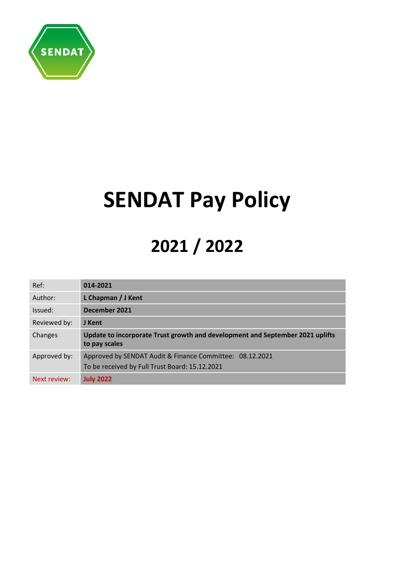

# **SENDAT Pay Policy**

# **2021 / 2022**

| Ref:         | 014-2021                                                                                                   |
|--------------|------------------------------------------------------------------------------------------------------------|
| Author:      | L Chapman / J Kent                                                                                         |
| Issued:      | December 2021                                                                                              |
| Reviewed by: | J Kent                                                                                                     |
| Changes      | Update to incorporate Trust growth and development and September 2021 uplifts<br>to pay scales             |
| Approved by: | Approved by SENDAT Audit & Finance Committee: 08.12.2021<br>To be received by Full Trust Board: 15.12.2021 |
| Next review: | <b>July 2022</b>                                                                                           |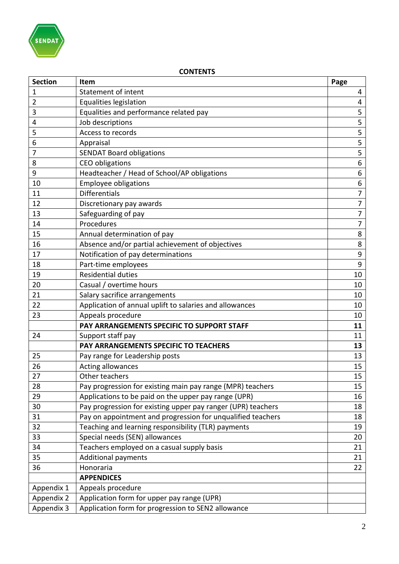

# **CONTENTS**

| <b>Section</b> | Item                                                         | Page           |
|----------------|--------------------------------------------------------------|----------------|
| $\mathbf{1}$   | Statement of intent                                          | 4              |
| $\overline{2}$ | Equalities legislation                                       | 4              |
| 3              | Equalities and performance related pay                       | 5              |
| 4              | Job descriptions                                             | 5              |
| 5              | Access to records                                            | 5              |
| 6              | Appraisal                                                    | 5              |
| 7              | <b>SENDAT Board obligations</b>                              | 5              |
| 8              | <b>CEO</b> obligations                                       | 6              |
| 9              | Headteacher / Head of School/AP obligations                  | 6              |
| 10             | <b>Employee obligations</b>                                  | 6              |
| 11             | <b>Differentials</b>                                         | $\overline{7}$ |
| 12             | Discretionary pay awards                                     | $\overline{7}$ |
| 13             | Safeguarding of pay                                          | $\overline{7}$ |
| 14             | Procedures                                                   | $\overline{7}$ |
| 15             | Annual determination of pay                                  | 8              |
| 16             | Absence and/or partial achievement of objectives             | 8              |
| 17             | Notification of pay determinations                           | 9              |
| 18             | Part-time employees                                          | 9              |
| 19             | <b>Residential duties</b>                                    | 10             |
| 20             | Casual / overtime hours                                      | 10             |
| 21             | Salary sacrifice arrangements                                | 10             |
| 22             | Application of annual uplift to salaries and allowances      | 10             |
| 23             | Appeals procedure                                            | 10             |
|                | PAY ARRANGEMENTS SPECIFIC TO SUPPORT STAFF                   | 11             |
| 24             | Support staff pay                                            | 11             |
|                | PAY ARRANGEMENTS SPECIFIC TO TEACHERS                        | 13             |
| 25             | Pay range for Leadership posts                               | 13             |
| 26             | Acting allowances                                            | 15             |
| 27             | Other teachers                                               | 15             |
| 28             | Pay progression for existing main pay range (MPR) teachers   | 15             |
| 29             | Applications to be paid on the upper pay range (UPR)         | 16             |
| 30             | Pay progression for existing upper pay ranger (UPR) teachers | 18             |
| 31             | Pay on appointment and progression for unqualified teachers  | 18             |
| 32             | Teaching and learning responsibility (TLR) payments          | 19             |
| 33             | Special needs (SEN) allowances                               | 20             |
| 34             | Teachers employed on a casual supply basis                   | 21             |
| 35             | <b>Additional payments</b>                                   | 21             |
| 36             | Honoraria                                                    | 22             |
|                | <b>APPENDICES</b>                                            |                |
| Appendix 1     | Appeals procedure                                            |                |
| Appendix 2     | Application form for upper pay range (UPR)                   |                |
| Appendix 3     | Application form for progression to SEN2 allowance           |                |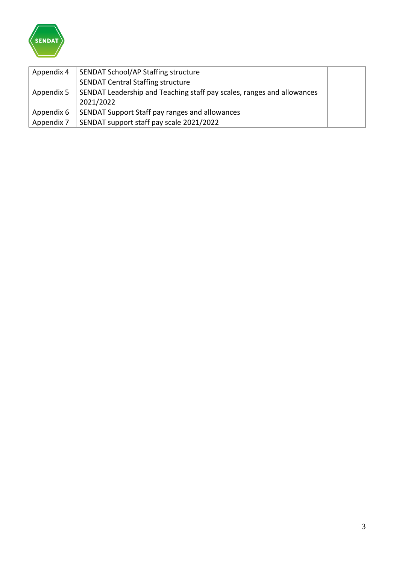

| Appendix 4 | SENDAT School/AP Staffing structure                                    |  |
|------------|------------------------------------------------------------------------|--|
|            | <b>SENDAT Central Staffing structure</b>                               |  |
| Appendix 5 | SENDAT Leadership and Teaching staff pay scales, ranges and allowances |  |
|            | 2021/2022                                                              |  |
| Appendix 6 | SENDAT Support Staff pay ranges and allowances                         |  |
| Appendix 7 | SENDAT support staff pay scale 2021/2022                               |  |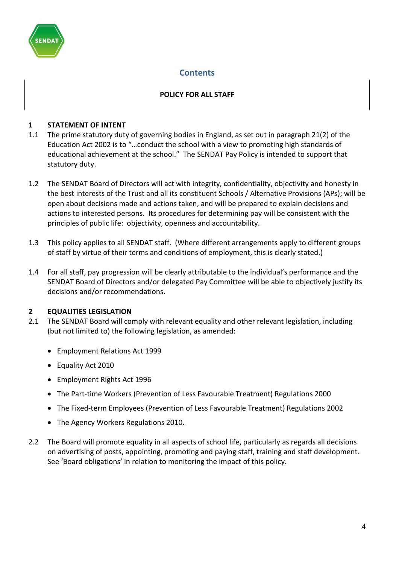

# **Contents**

#### **POLICY FOR ALL STAFF**

#### **1 STATEMENT OF INTENT**

- 1.1 The prime statutory duty of governing bodies in England, as set out in paragraph 21(2) of the Education Act 2002 is to "…conduct the school with a view to promoting high standards of educational achievement at the school." The SENDAT Pay Policy is intended to support that statutory duty.
- 1.2 The SENDAT Board of Directors will act with integrity, confidentiality, objectivity and honesty in the best interests of the Trust and all its constituent Schools / Alternative Provisions (APs); will be open about decisions made and actions taken, and will be prepared to explain decisions and actions to interested persons. Its procedures for determining pay will be consistent with the principles of public life: objectivity, openness and accountability.
- 1.3 This policy applies to all SENDAT staff. (Where different arrangements apply to different groups of staff by virtue of their terms and conditions of employment, this is clearly stated.)
- 1.4 For all staff, pay progression will be clearly attributable to the individual's performance and the SENDAT Board of Directors and/or delegated Pay Committee will be able to objectively justify its decisions and/or recommendations.

#### **2 EQUALITIES LEGISLATION**

- 2.1 The SENDAT Board will comply with relevant equality and other relevant legislation, including (but not limited to) the following legislation, as amended:
	- Employment Relations Act 1999
	- Equality Act 2010
	- Employment Rights Act 1996
	- The Part-time Workers (Prevention of Less Favourable Treatment) Regulations 2000
	- The Fixed-term Employees (Prevention of Less Favourable Treatment) Regulations 2002
	- The Agency Workers Regulations 2010.
- 2.2 The Board will promote equality in all aspects of school life, particularly as regards all decisions on advertising of posts, appointing, promoting and paying staff, training and staff development. See 'Board obligations' in relation to monitoring the impact of this policy.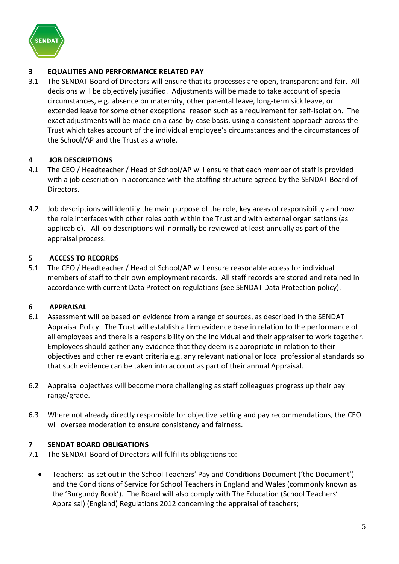

## **3 EQUALITIES AND PERFORMANCE RELATED PAY**

3.1 The SENDAT Board of Directors will ensure that its processes are open, transparent and fair. All decisions will be objectively justified. Adjustments will be made to take account of special circumstances, e.g. absence on maternity, other parental leave, long-term sick leave, or extended leave for some other exceptional reason such as a requirement for self-isolation. The exact adjustments will be made on a case-by-case basis, using a consistent approach across the Trust which takes account of the individual employee's circumstances and the circumstances of the School/AP and the Trust as a whole.

#### **4 JOB DESCRIPTIONS**

- 4.1 The CEO / Headteacher / Head of School/AP will ensure that each member of staff is provided with a job description in accordance with the staffing structure agreed by the SENDAT Board of Directors.
- 4.2 Job descriptions will identify the main purpose of the role, key areas of responsibility and how the role interfaces with other roles both within the Trust and with external organisations (as applicable). All job descriptions will normally be reviewed at least annually as part of the appraisal process.

#### **5 ACCESS TO RECORDS**

5.1 The CEO / Headteacher / Head of School/AP will ensure reasonable access for individual members of staff to their own employment records. All staff records are stored and retained in accordance with current Data Protection regulations (see SENDAT Data Protection policy).

#### **6 APPRAISAL**

- 6.1 Assessment will be based on evidence from a range of sources, as described in the SENDAT Appraisal Policy. The Trust will establish a firm evidence base in relation to the performance of all employees and there is a responsibility on the individual and their appraiser to work together. Employees should gather any evidence that they deem is appropriate in relation to their objectives and other relevant criteria e.g. any relevant national or local professional standards so that such evidence can be taken into account as part of their annual Appraisal.
- 6.2 Appraisal objectives will become more challenging as staff colleagues progress up their pay range/grade.
- 6.3 Where not already directly responsible for objective setting and pay recommendations, the CEO will oversee moderation to ensure consistency and fairness.

#### **7 SENDAT BOARD OBLIGATIONS**

- 7.1 The SENDAT Board of Directors will fulfil its obligations to:
	- Teachers: as set out in the School Teachers' Pay and Conditions Document ('the Document') and the Conditions of Service for School Teachers in England and Wales (commonly known as the 'Burgundy Book'). The Board will also comply with The Education (School Teachers' Appraisal) (England) Regulations 2012 concerning the appraisal of teachers;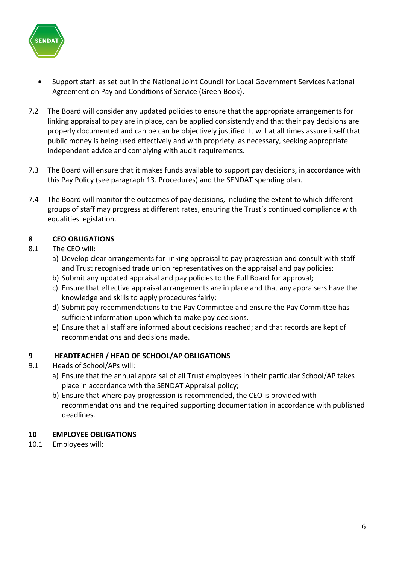

- Support staff: as set out in the National Joint Council for Local Government Services National Agreement on Pay and Conditions of Service (Green Book).
- 7.2 The Board will consider any updated policies to ensure that the appropriate arrangements for linking appraisal to pay are in place, can be applied consistently and that their pay decisions are properly documented and can be can be objectively justified. It will at all times assure itself that public money is being used effectively and with propriety, as necessary, seeking appropriate independent advice and complying with audit requirements.
- 7.3 The Board will ensure that it makes funds available to support pay decisions, in accordance with this Pay Policy (see paragraph 13. Procedures) and the SENDAT spending plan.
- 7.4 The Board will monitor the outcomes of pay decisions, including the extent to which different groups of staff may progress at different rates, ensuring the Trust's continued compliance with equalities legislation.

# **8 CEO OBLIGATIONS**

#### 8.1 The CEO will:

- a) Develop clear arrangements for linking appraisal to pay progression and consult with staff and Trust recognised trade union representatives on the appraisal and pay policies;
- b) Submit any updated appraisal and pay policies to the Full Board for approval;
- c) Ensure that effective appraisal arrangements are in place and that any appraisers have the knowledge and skills to apply procedures fairly;
- d) Submit pay recommendations to the Pay Committee and ensure the Pay Committee has sufficient information upon which to make pay decisions.
- e) Ensure that all staff are informed about decisions reached; and that records are kept of recommendations and decisions made.

#### **9 HEADTEACHER / HEAD OF SCHOOL/AP OBLIGATIONS**

- 9.1 Heads of School/APs will:
	- a) Ensure that the annual appraisal of all Trust employees in their particular School/AP takes place in accordance with the SENDAT Appraisal policy;
	- b) Ensure that where pay progression is recommended, the CEO is provided with recommendations and the required supporting documentation in accordance with published deadlines.

#### **10 EMPLOYEE OBLIGATIONS**

10.1 Employees will: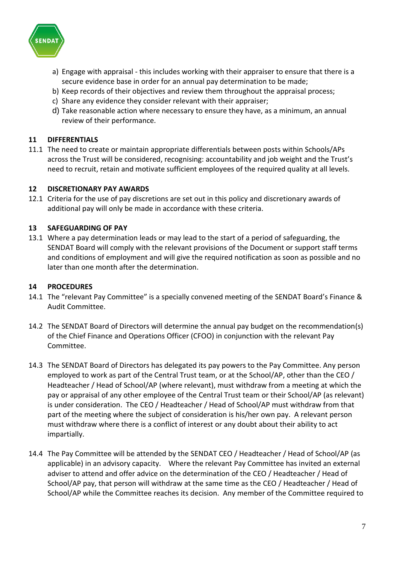

- a) Engage with appraisal this includes working with their appraiser to ensure that there is a secure evidence base in order for an annual pay determination to be made;
- b) Keep records of their objectives and review them throughout the appraisal process;
- c) Share any evidence they consider relevant with their appraiser;
- d) Take reasonable action where necessary to ensure they have, as a minimum, an annual review of their performance.

#### **11 DIFFERENTIALS**

11.1 The need to create or maintain appropriate differentials between posts within Schools/APs across the Trust will be considered, recognising: accountability and job weight and the Trust's need to recruit, retain and motivate sufficient employees of the required quality at all levels.

#### **12 DISCRETIONARY PAY AWARDS**

12.1 Criteria for the use of pay discretions are set out in this policy and discretionary awards of additional pay will only be made in accordance with these criteria.

#### **13 SAFEGUARDING OF PAY**

13.1 Where a pay determination leads or may lead to the start of a period of safeguarding, the SENDAT Board will comply with the relevant provisions of the Document or support staff terms and conditions of employment and will give the required notification as soon as possible and no later than one month after the determination.

#### **14 PROCEDURES**

- 14.1 The "relevant Pay Committee" is a specially convened meeting of the SENDAT Board's Finance & Audit Committee.
- 14.2 The SENDAT Board of Directors will determine the annual pay budget on the recommendation(s) of the Chief Finance and Operations Officer (CFOO) in conjunction with the relevant Pay Committee.
- 14.3 The SENDAT Board of Directors has delegated its pay powers to the Pay Committee. Any person employed to work as part of the Central Trust team, or at the School/AP, other than the CEO / Headteacher / Head of School/AP (where relevant), must withdraw from a meeting at which the pay or appraisal of any other employee of the Central Trust team or their School/AP (as relevant) is under consideration. The CEO / Headteacher / Head of School/AP must withdraw from that part of the meeting where the subject of consideration is his/her own pay. A relevant person must withdraw where there is a conflict of interest or any doubt about their ability to act impartially.
- 14.4 The Pay Committee will be attended by the SENDAT CEO / Headteacher / Head of School/AP (as applicable) in an advisory capacity. Where the relevant Pay Committee has invited an external adviser to attend and offer advice on the determination of the CEO / Headteacher / Head of School/AP pay, that person will withdraw at the same time as the CEO / Headteacher / Head of School/AP while the Committee reaches its decision. Any member of the Committee required to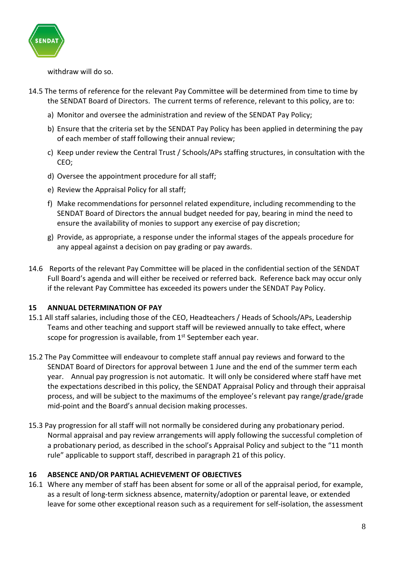

withdraw will do so.

- 14.5 The terms of reference for the relevant Pay Committee will be determined from time to time by the SENDAT Board of Directors. The current terms of reference, relevant to this policy, are to:
	- a) Monitor and oversee the administration and review of the SENDAT Pay Policy;
	- b) Ensure that the criteria set by the SENDAT Pay Policy has been applied in determining the pay of each member of staff following their annual review;
	- c) Keep under review the Central Trust / Schools/APs staffing structures, in consultation with the CEO;
	- d) Oversee the appointment procedure for all staff;
	- e) Review the Appraisal Policy for all staff;
	- f) Make recommendations for personnel related expenditure, including recommending to the SENDAT Board of Directors the annual budget needed for pay, bearing in mind the need to ensure the availability of monies to support any exercise of pay discretion;
	- g) Provide, as appropriate, a response under the informal stages of the appeals procedure for any appeal against a decision on pay grading or pay awards.
- 14.6 Reports of the relevant Pay Committee will be placed in the confidential section of the SENDAT Full Board's agenda and will either be received or referred back. Reference back may occur only if the relevant Pay Committee has exceeded its powers under the SENDAT Pay Policy.

#### **15 ANNUAL DETERMINATION OF PAY**

- 15.1 All staff salaries, including those of the CEO, Headteachers / Heads of Schools/APs, Leadership Teams and other teaching and support staff will be reviewed annually to take effect, where scope for progression is available, from 1<sup>st</sup> September each year.
- 15.2 The Pay Committee will endeavour to complete staff annual pay reviews and forward to the SENDAT Board of Directors for approval between 1 June and the end of the summer term each year. Annual pay progression is not automatic. It will only be considered where staff have met the expectations described in this policy, the SENDAT Appraisal Policy and through their appraisal process, and will be subject to the maximums of the employee's relevant pay range/grade/grade mid-point and the Board's annual decision making processes.
- 15.3 Pay progression for all staff will not normally be considered during any probationary period. Normal appraisal and pay review arrangements will apply following the successful completion of a probationary period, as described in the school's Appraisal Policy and subject to the "11 month rule" applicable to support staff, described in paragraph 21 of this policy.

#### **16 ABSENCE AND/OR PARTIAL ACHIEVEMENT OF OBJECTIVES**

16.1 Where any member of staff has been absent for some or all of the appraisal period, for example, as a result of long-term sickness absence, maternity/adoption or parental leave, or extended leave for some other exceptional reason such as a requirement for self-isolation, the assessment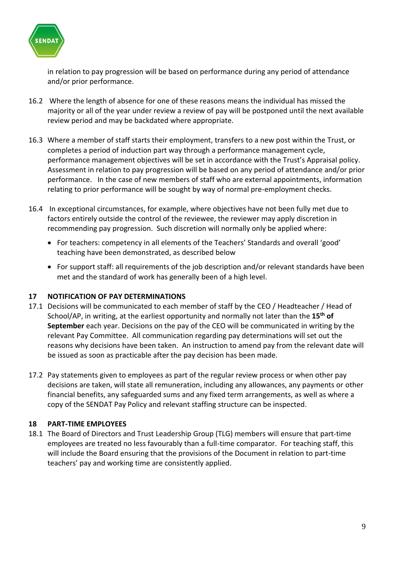

in relation to pay progression will be based on performance during any period of attendance and/or prior performance.

- 16.2 Where the length of absence for one of these reasons means the individual has missed the majority or all of the year under review a review of pay will be postponed until the next available review period and may be backdated where appropriate.
- 16.3 Where a member of staff starts their employment, transfers to a new post within the Trust, or completes a period of induction part way through a performance management cycle, performance management objectives will be set in accordance with the Trust's Appraisal policy. Assessment in relation to pay progression will be based on any period of attendance and/or prior performance. In the case of new members of staff who are external appointments, information relating to prior performance will be sought by way of normal pre-employment checks.
- 16.4 In exceptional circumstances, for example, where objectives have not been fully met due to factors entirely outside the control of the reviewee, the reviewer may apply discretion in recommending pay progression. Such discretion will normally only be applied where:
	- For teachers: competency in all elements of the Teachers' Standards and overall 'good' teaching have been demonstrated, as described below
	- For support staff: all requirements of the job description and/or relevant standards have been met and the standard of work has generally been of a high level.

#### **17 NOTIFICATION OF PAY DETERMINATIONS**

- 17.1 Decisions will be communicated to each member of staff by the CEO / Headteacher / Head of School/AP, in writing, at the earliest opportunity and normally not later than the **15th of September** each year. Decisions on the pay of the CEO will be communicated in writing by the relevant Pay Committee. All communication regarding pay determinations will set out the reasons why decisions have been taken. An instruction to amend pay from the relevant date will be issued as soon as practicable after the pay decision has been made.
- 17.2 Pay statements given to employees as part of the regular review process or when other pay decisions are taken, will state all remuneration, including any allowances, any payments or other financial benefits, any safeguarded sums and any fixed term arrangements, as well as where a copy of the SENDAT Pay Policy and relevant staffing structure can be inspected.

#### **18 PART-TIME EMPLOYEES**

18.1 The Board of Directors and Trust Leadership Group (TLG) members will ensure that part-time employees are treated no less favourably than a full-time comparator. For teaching staff, this will include the Board ensuring that the provisions of the Document in relation to part-time teachers' pay and working time are consistently applied.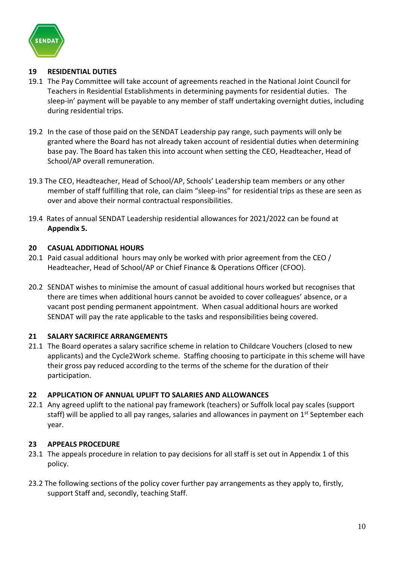

#### **19 RESIDENTIAL DUTIES**

- 19.1 The Pay Committee will take account of agreements reached in the National Joint Council for Teachers in Residential Establishments in determining payments for residential duties. The sleep-in' payment will be payable to any member of staff undertaking overnight duties, including during residential trips.
- 19.2 In the case of those paid on the SENDAT Leadership pay range, such payments will only be granted where the Board has not already taken account of residential duties when determining base pay. The Board has taken this into account when setting the CEO, Headteacher, Head of School/AP overall remuneration.
- 19.3 The CEO, Headteacher, Head of School/AP, Schools' Leadership team members or any other member of staff fulfilling that role, can claim "sleep-ins" for residential trips as these are seen as over and above their normal contractual responsibilities.
- 19.4 Rates of annual SENDAT Leadership residential allowances for 2021/2022 can be found at **Appendix 5.**

## **20 CASUAL ADDITIONAL HOURS**

- 20.1 Paid casual additional hours may only be worked with prior agreement from the CEO / Headteacher, Head of School/AP or Chief Finance & Operations Officer (CFOO).
- 20.2 SENDAT wishes to minimise the amount of casual additional hours worked but recognises that there are times when additional hours cannot be avoided to cover colleagues' absence, or a vacant post pending permanent appointment. When casual additional hours are worked SENDAT will pay the rate applicable to the tasks and responsibilities being covered.

# **21 SALARY SACRIFICE ARRANGEMENTS**

21.1 The Board operates a salary sacrifice scheme in relation to Childcare Vouchers (closed to new applicants) and the Cycle2Work scheme. Staffing choosing to participate in this scheme will have their gross pay reduced according to the terms of the scheme for the duration of their participation.

#### **22 APPLICATION OF ANNUAL UPLIFT TO SALARIES AND ALLOWANCES**

22.1 Any agreed uplift to the national pay framework (teachers) or Suffolk local pay scales (support staff) will be applied to all pay ranges, salaries and allowances in payment on  $1<sup>st</sup>$  September each year.

#### **23 APPEALS PROCEDURE**

- 23.1 The appeals procedure in relation to pay decisions for all staff is set out in Appendix 1 of this policy.
- 23.2 The following sections of the policy cover further pay arrangements as they apply to, firstly, support Staff and, secondly, teaching Staff.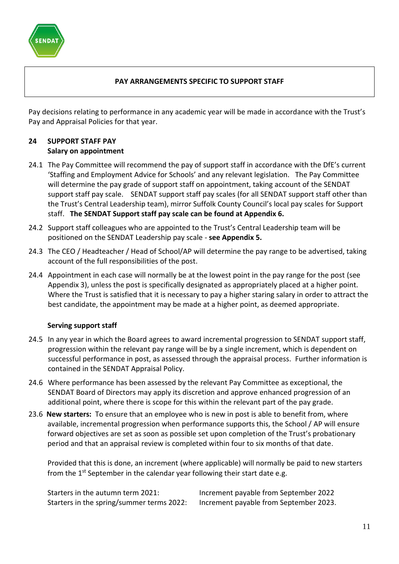

#### **PAY ARRANGEMENTS SPECIFIC TO SUPPORT STAFF**

Pay decisions relating to performance in any academic year will be made in accordance with the Trust's Pay and Appraisal Policies for that year.

#### **24 SUPPORT STAFF PAY Salary on appointment**

- 24.1 The Pay Committee will recommend the pay of support staff in accordance with the DfE's current 'Staffing and Employment Advice for Schools' and any relevant legislation. The Pay Committee will determine the pay grade of support staff on appointment, taking account of the SENDAT support staff pay scale. SENDAT support staff pay scales (for all SENDAT support staff other than the Trust's Central Leadership team), mirror Suffolk County Council's local pay scales for Support staff. **The SENDAT Support staff pay scale can be found at Appendix 6.**
- 24.2 Support staff colleagues who are appointed to the Trust's Central Leadership team will be positioned on the SENDAT Leadership pay scale - **see Appendix 5.**
- 24.3 The CEO / Headteacher / Head of School/AP will determine the pay range to be advertised, taking account of the full responsibilities of the post.
- 24.4 Appointment in each case will normally be at the lowest point in the pay range for the post (see Appendix 3), unless the post is specifically designated as appropriately placed at a higher point. Where the Trust is satisfied that it is necessary to pay a higher staring salary in order to attract the best candidate, the appointment may be made at a higher point, as deemed appropriate.

#### **Serving support staff**

- 24.5 In any year in which the Board agrees to award incremental progression to SENDAT support staff, progression within the relevant pay range will be by a single increment, which is dependent on successful performance in post, as assessed through the appraisal process. Further information is contained in the SENDAT Appraisal Policy.
- 24.6 Where performance has been assessed by the relevant Pay Committee as exceptional, the SENDAT Board of Directors may apply its discretion and approve enhanced progression of an additional point, where there is scope for this within the relevant part of the pay grade.
- 23.6 **New starters:** To ensure that an employee who is new in post is able to benefit from, where available, incremental progression when performance supports this, the School / AP will ensure forward objectives are set as soon as possible set upon completion of the Trust's probationary period and that an appraisal review is completed within four to six months of that date.

Provided that this is done, an increment (where applicable) will normally be paid to new starters from the 1<sup>st</sup> September in the calendar year following their start date e.g.

| Starters in the autumn term 2021:         | Increment payable from September 2022  |
|-------------------------------------------|----------------------------------------|
| Starters in the spring/summer terms 2022: | Increment payable from September 2023. |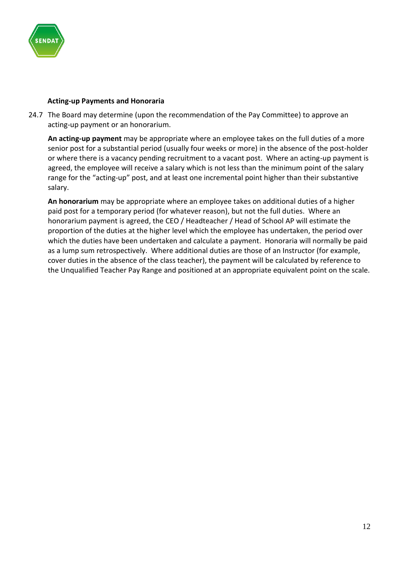

#### **Acting-up Payments and Honoraria**

24.7 The Board may determine (upon the recommendation of the Pay Committee) to approve an acting-up payment or an honorarium.

**An acting-up payment** may be appropriate where an employee takes on the full duties of a more senior post for a substantial period (usually four weeks or more) in the absence of the post-holder or where there is a vacancy pending recruitment to a vacant post. Where an acting-up payment is agreed, the employee will receive a salary which is not less than the minimum point of the salary range for the "acting-up" post, and at least one incremental point higher than their substantive salary.

**An honorarium** may be appropriate where an employee takes on additional duties of a higher paid post for a temporary period (for whatever reason), but not the full duties. Where an honorarium payment is agreed, the CEO / Headteacher / Head of School AP will estimate the proportion of the duties at the higher level which the employee has undertaken, the period over which the duties have been undertaken and calculate a payment. Honoraria will normally be paid as a lump sum retrospectively. Where additional duties are those of an Instructor (for example, cover duties in the absence of the class teacher), the payment will be calculated by reference to the Unqualified Teacher Pay Range and positioned at an appropriate equivalent point on the scale.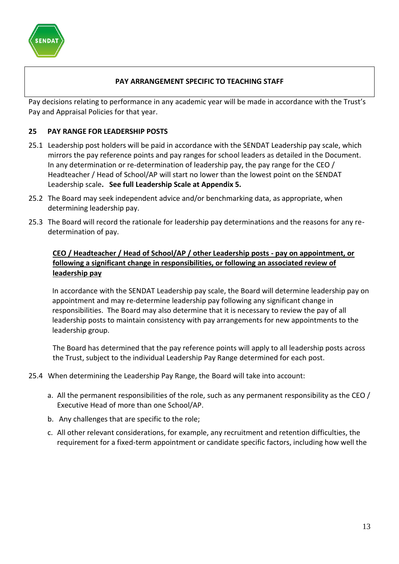

## **PAY ARRANGEMENT SPECIFIC TO TEACHING STAFF**

Pay decisions relating to performance in any academic year will be made in accordance with the Trust's Pay and Appraisal Policies for that year.

#### **25 PAY RANGE FOR LEADERSHIP POSTS**

- 25.1 Leadership post holders will be paid in accordance with the SENDAT Leadership pay scale, which mirrors the pay reference points and pay ranges for school leaders as detailed in the Document. In any determination or re-determination of leadership pay, the pay range for the CEO / Headteacher / Head of School/AP will start no lower than the lowest point on the SENDAT Leadership scale**. See full Leadership Scale at Appendix 5.**
- 25.2 The Board may seek independent advice and/or benchmarking data, as appropriate, when determining leadership pay.
- 25.3 The Board will record the rationale for leadership pay determinations and the reasons for any redetermination of pay.

## **CEO / Headteacher / Head of School/AP / other Leadership posts - pay on appointment, or following a significant change in responsibilities, or following an associated review of leadership pay**

In accordance with the SENDAT Leadership pay scale, the Board will determine leadership pay on appointment and may re-determine leadership pay following any significant change in responsibilities. The Board may also determine that it is necessary to review the pay of all leadership posts to maintain consistency with pay arrangements for new appointments to the leadership group.

The Board has determined that the pay reference points will apply to all leadership posts across the Trust, subject to the individual Leadership Pay Range determined for each post.

- 25.4 When determining the Leadership Pay Range, the Board will take into account:
	- a. All the permanent responsibilities of the role, such as any permanent responsibility as the CEO / Executive Head of more than one School/AP.
	- b. Any challenges that are specific to the role;
	- c. All other relevant considerations, for example, any recruitment and retention difficulties, the requirement for a fixed-term appointment or candidate specific factors, including how well the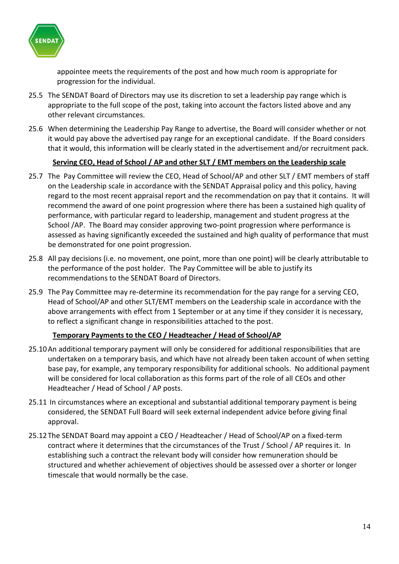

appointee meets the requirements of the post and how much room is appropriate for progression for the individual.

- 25.5 The SENDAT Board of Directors may use its discretion to set a leadership pay range which is appropriate to the full scope of the post, taking into account the factors listed above and any other relevant circumstances.
- 25.6 When determining the Leadership Pay Range to advertise, the Board will consider whether or not it would pay above the advertised pay range for an exceptional candidate. If the Board considers that it would, this information will be clearly stated in the advertisement and/or recruitment pack.

## **Serving CEO, Head of School / AP and other SLT / EMT members on the Leadership scale**

- 25.7 The Pay Committee will review the CEO, Head of School/AP and other SLT / EMT members of staff on the Leadership scale in accordance with the SENDAT Appraisal policy and this policy, having regard to the most recent appraisal report and the recommendation on pay that it contains. It will recommend the award of one point progression where there has been a sustained high quality of performance, with particular regard to leadership, management and student progress at the School /AP. The Board may consider approving two-point progression where performance is assessed as having significantly exceeded the sustained and high quality of performance that must be demonstrated for one point progression.
- 25.8 All pay decisions (i.e. no movement, one point, more than one point) will be clearly attributable to the performance of the post holder. The Pay Committee will be able to justify its recommendations to the SENDAT Board of Directors.
- 25.9 The Pay Committee may re-determine its recommendation for the pay range for a serving CEO, Head of School/AP and other SLT/EMT members on the Leadership scale in accordance with the above arrangements with effect from 1 September or at any time if they consider it is necessary, to reflect a significant change in responsibilities attached to the post.

#### **Temporary Payments to the CEO / Headteacher / Head of School/AP**

- 25.10An additional temporary payment will only be considered for additional responsibilities that are undertaken on a temporary basis, and which have not already been taken account of when setting base pay, for example, any temporary responsibility for additional schools. No additional payment will be considered for local collaboration as this forms part of the role of all CEOs and other Headteacher / Head of School / AP posts.
- 25.11 In circumstances where an exceptional and substantial additional temporary payment is being considered, the SENDAT Full Board will seek external independent advice before giving final approval.
- 25.12The SENDAT Board may appoint a CEO / Headteacher / Head of School/AP on a fixed-term contract where it determines that the circumstances of the Trust / School / AP requires it. In establishing such a contract the relevant body will consider how remuneration should be structured and whether achievement of objectives should be assessed over a shorter or longer timescale that would normally be the case.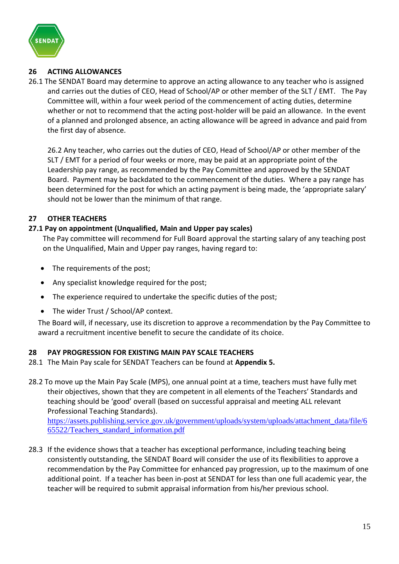

## **26 ACTING ALLOWANCES**

26.1 The SENDAT Board may determine to approve an acting allowance to any teacher who is assigned and carries out the duties of CEO, Head of School/AP or other member of the SLT / EMT. The Pay Committee will, within a four week period of the commencement of acting duties, determine whether or not to recommend that the acting post-holder will be paid an allowance. In the event of a planned and prolonged absence, an acting allowance will be agreed in advance and paid from the first day of absence.

26.2 Any teacher, who carries out the duties of CEO, Head of School/AP or other member of the SLT / EMT for a period of four weeks or more, may be paid at an appropriate point of the Leadership pay range, as recommended by the Pay Committee and approved by the SENDAT Board. Payment may be backdated to the commencement of the duties. Where a pay range has been determined for the post for which an acting payment is being made, the 'appropriate salary' should not be lower than the minimum of that range.

## **27 OTHER TEACHERS**

## **27.1 Pay on appointment (Unqualified, Main and Upper pay scales)**

The Pay committee will recommend for Full Board approval the starting salary of any teaching post on the Unqualified, Main and Upper pay ranges, having regard to:

- The requirements of the post;
- Any specialist knowledge required for the post;
- The experience required to undertake the specific duties of the post;
- The wider Trust / School/AP context.

The Board will, if necessary, use its discretion to approve a recommendation by the Pay Committee to award a recruitment incentive benefit to secure the candidate of its choice.

#### **28 PAY PROGRESSION FOR EXISTING MAIN PAY SCALE TEACHERS**

- 28.1 The Main Pay scale for SENDAT Teachers can be found at **Appendix 5.**
- 28.2 To move up the Main Pay Scale (MPS), one annual point at a time, teachers must have fully met their objectives, shown that they are competent in all elements of the Teachers' Standards and teaching should be 'good' overall (based on successful appraisal and meeting ALL relevant Professional Teaching Standards).

[https://assets.publishing.service.gov.uk/government/uploads/system/uploads/attachment\\_data/file/6](https://assets.publishing.service.gov.uk/government/uploads/system/uploads/attachment_data/file/665522/Teachers_standard_information.pdf) [65522/Teachers\\_standard\\_information.pdf](https://assets.publishing.service.gov.uk/government/uploads/system/uploads/attachment_data/file/665522/Teachers_standard_information.pdf)

28.3 If the evidence shows that a teacher has exceptional performance, including teaching being consistently outstanding, the SENDAT Board will consider the use of its flexibilities to approve a recommendation by the Pay Committee for enhanced pay progression, up to the maximum of one additional point. If a teacher has been in-post at SENDAT for less than one full academic year, the teacher will be required to submit appraisal information from his/her previous school.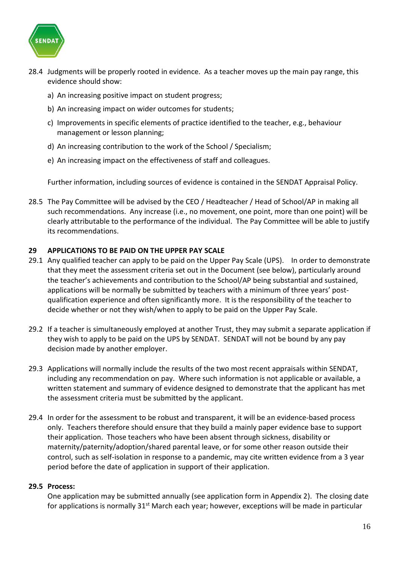

- 28.4 Judgments will be properly rooted in evidence. As a teacher moves up the main pay range, this evidence should show:
	- a) An increasing positive impact on student progress;
	- b) An increasing impact on wider outcomes for students;
	- c) Improvements in specific elements of practice identified to the teacher, e.g., behaviour management or lesson planning;
	- d) An increasing contribution to the work of the School / Specialism;
	- e) An increasing impact on the effectiveness of staff and colleagues.

Further information, including sources of evidence is contained in the SENDAT Appraisal Policy.

28.5 The Pay Committee will be advised by the CEO / Headteacher / Head of School/AP in making all such recommendations. Any increase (i.e., no movement, one point, more than one point) will be clearly attributable to the performance of the individual. The Pay Committee will be able to justify its recommendations.

#### **29 APPLICATIONS TO BE PAID ON THE UPPER PAY SCALE**

- 29.1 Any qualified teacher can apply to be paid on the Upper Pay Scale (UPS). In order to demonstrate that they meet the assessment criteria set out in the Document (see below), particularly around the teacher's achievements and contribution to the School/AP being substantial and sustained, applications will be normally be submitted by teachers with a minimum of three years' postqualification experience and often significantly more. It is the responsibility of the teacher to decide whether or not they wish/when to apply to be paid on the Upper Pay Scale.
- 29.2 If a teacher is simultaneously employed at another Trust, they may submit a separate application if they wish to apply to be paid on the UPS by SENDAT. SENDAT will not be bound by any pay decision made by another employer.
- 29.3 Applications will normally include the results of the two most recent appraisals within SENDAT, including any recommendation on pay. Where such information is not applicable or available, a written statement and summary of evidence designed to demonstrate that the applicant has met the assessment criteria must be submitted by the applicant.
- 29.4 In order for the assessment to be robust and transparent, it will be an evidence-based process only. Teachers therefore should ensure that they build a mainly paper evidence base to support their application. Those teachers who have been absent through sickness, disability or maternity/paternity/adoption/shared parental leave, or for some other reason outside their control, such as self-isolation in response to a pandemic, may cite written evidence from a 3 year period before the date of application in support of their application.

#### **29.5 Process:**

One application may be submitted annually (see application form in Appendix 2). The closing date for applications is normally  $31<sup>st</sup>$  March each year; however, exceptions will be made in particular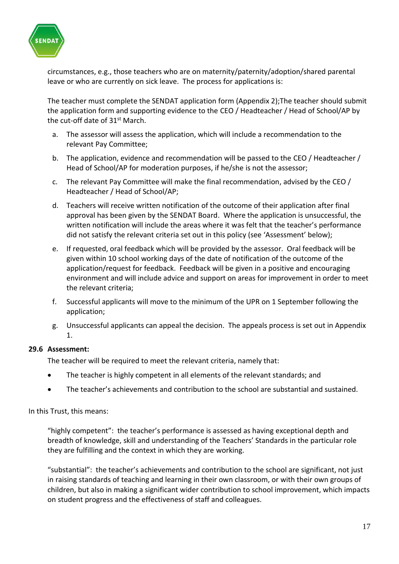

circumstances, e.g., those teachers who are on maternity/paternity/adoption/shared parental leave or who are currently on sick leave. The process for applications is:

The teacher must complete the SENDAT application form (Appendix 2);The teacher should submit the application form and supporting evidence to the CEO / Headteacher / Head of School/AP by the cut-off date of 31st March.

- a. The assessor will assess the application, which will include a recommendation to the relevant Pay Committee;
- b. The application, evidence and recommendation will be passed to the CEO / Headteacher / Head of School/AP for moderation purposes, if he/she is not the assessor;
- c. The relevant Pay Committee will make the final recommendation, advised by the CEO / Headteacher / Head of School/AP;
- d. Teachers will receive written notification of the outcome of their application after final approval has been given by the SENDAT Board. Where the application is unsuccessful, the written notification will include the areas where it was felt that the teacher's performance did not satisfy the relevant criteria set out in this policy (see 'Assessment' below);
- e. If requested, oral feedback which will be provided by the assessor. Oral feedback will be given within 10 school working days of the date of notification of the outcome of the application/request for feedback. Feedback will be given in a positive and encouraging environment and will include advice and support on areas for improvement in order to meet the relevant criteria;
- f. Successful applicants will move to the minimum of the UPR on 1 September following the application;
- g. Unsuccessful applicants can appeal the decision. The appeals process is set out in Appendix 1.

#### **29.6 Assessment:**

The teacher will be required to meet the relevant criteria, namely that:

- The teacher is highly competent in all elements of the relevant standards; and
- The teacher's achievements and contribution to the school are substantial and sustained.

In this Trust, this means:

"highly competent": the teacher's performance is assessed as having exceptional depth and breadth of knowledge, skill and understanding of the Teachers' Standards in the particular role they are fulfilling and the context in which they are working.

"substantial": the teacher's achievements and contribution to the school are significant, not just in raising standards of teaching and learning in their own classroom, or with their own groups of children, but also in making a significant wider contribution to school improvement, which impacts on student progress and the effectiveness of staff and colleagues.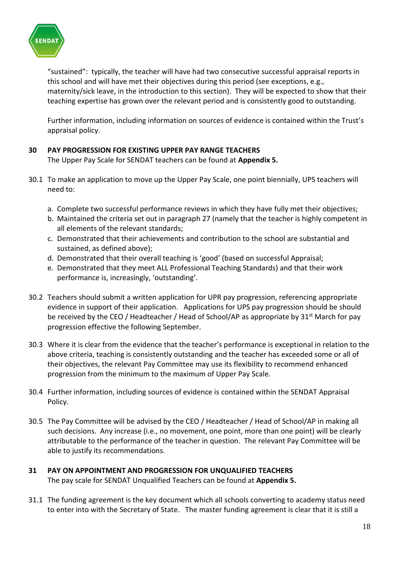

"sustained": typically, the teacher will have had two consecutive successful appraisal reports in this school and will have met their objectives during this period (see exceptions, e.g., maternity/sick leave, in the introduction to this section). They will be expected to show that their teaching expertise has grown over the relevant period and is consistently good to outstanding.

Further information, including information on sources of evidence is contained within the Trust's appraisal policy.

## **30 PAY PROGRESSION FOR EXISTING UPPER PAY RANGE TEACHERS**

The Upper Pay Scale for SENDAT teachers can be found at **Appendix 5.**

- 30.1 To make an application to move up the Upper Pay Scale, one point biennially, UPS teachers will need to:
	- a. Complete two successful performance reviews in which they have fully met their objectives;
	- b. Maintained the criteria set out in paragraph 27 (namely that the teacher is highly competent in all elements of the relevant standards;
	- c. Demonstrated that their achievements and contribution to the school are substantial and sustained, as defined above);
	- d. Demonstrated that their overall teaching is 'good' (based on successful Appraisal;
	- e. Demonstrated that they meet ALL Professional Teaching Standards) and that their work performance is, increasingly, 'outstanding'.
- 30.2 Teachers should submit a written application for UPR pay progression, referencing appropriate evidence in support of their application. Applications for UPS pay progression should be should be received by the CEO / Headteacher / Head of School/AP as appropriate by  $31<sup>st</sup>$  March for pay progression effective the following September.
- 30.3 Where it is clear from the evidence that the teacher's performance is exceptional in relation to the above criteria, teaching is consistently outstanding and the teacher has exceeded some or all of their objectives, the relevant Pay Committee may use its flexibility to recommend enhanced progression from the minimum to the maximum of Upper Pay Scale.
- 30.4 Further information, including sources of evidence is contained within the SENDAT Appraisal Policy.
- 30.5 The Pay Committee will be advised by the CEO / Headteacher / Head of School/AP in making all such decisions. Any increase (i.e., no movement, one point, more than one point) will be clearly attributable to the performance of the teacher in question. The relevant Pay Committee will be able to justify its recommendations.

#### **31 PAY ON APPOINTMENT AND PROGRESSION FOR UNQUALIFIED TEACHERS** The pay scale for SENDAT Unqualified Teachers can be found at **Appendix 5.**

31.1 The funding agreement is the key document which all schools converting to academy status need to enter into with the Secretary of State. The master funding agreement is clear that it is still a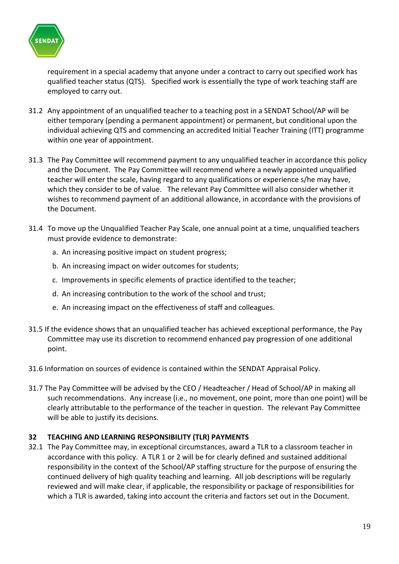

requirement in a special academy that anyone under a contract to carry out specified work has qualified teacher status (QTS). Specified work is essentially the type of work teaching staff are employed to carry out.

- 31.2 Any appointment of an unqualified teacher to a teaching post in a SENDAT School/AP will be either temporary (pending a permanent appointment) or permanent, but conditional upon the individual achieving QTS and commencing an accredited Initial Teacher Training (ITT) programme within one year of appointment.
- 31.3 The Pay Committee will recommend payment to any unqualified teacher in accordance this policy and the Document. The Pay Committee will recommend where a newly appointed unqualified teacher will enter the scale, having regard to any qualifications or experience s/he may have, which they consider to be of value. The relevant Pay Committee will also consider whether it wishes to recommend payment of an additional allowance, in accordance with the provisions of the Document.
- 31.4 To move up the Unqualified Teacher Pay Scale, one annual point at a time, unqualified teachers must provide evidence to demonstrate:
	- a. An increasing positive impact on student progress;
	- b. An increasing impact on wider outcomes for students;
	- c. Improvements in specific elements of practice identified to the teacher;
	- d. An increasing contribution to the work of the school and trust;
	- e. An increasing impact on the effectiveness of staff and colleagues.
- 31.5 If the evidence shows that an unqualified teacher has achieved exceptional performance, the Pay Committee may use its discretion to recommend enhanced pay progression of one additional point.
- 31.6 Information on sources of evidence is contained within the SENDAT Appraisal Policy.
- 31.7 The Pay Committee will be advised by the CEO / Headteacher / Head of School/AP in making all such recommendations. Any increase (i.e., no movement, one point, more than one point) will be clearly attributable to the performance of the teacher in question. The relevant Pay Committee will be able to justify its decisions.

#### **32 TEACHING AND LEARNING RESPONSIBILITY (TLR) PAYMENTS**

32.1 The Pay Committee may, in exceptional circumstances, award a TLR to a classroom teacher in accordance with this policy. A TLR 1 or 2 will be for clearly defined and sustained additional responsibility in the context of the School/AP staffing structure for the purpose of ensuring the continued delivery of high quality teaching and learning. All job descriptions will be regularly reviewed and will make clear, if applicable, the responsibility or package of responsibilities for which a TLR is awarded, taking into account the criteria and factors set out in the Document.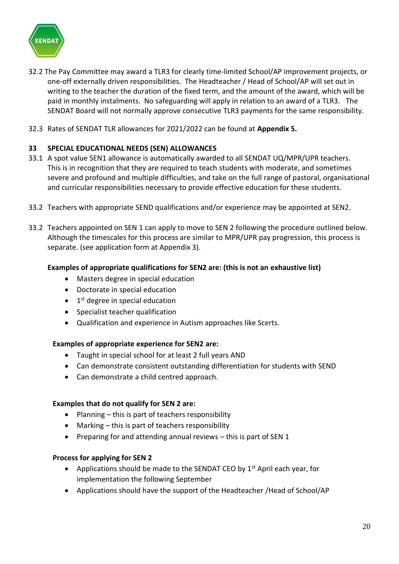

- 32.2 The Pay Committee may award a TLR3 for clearly time-limited School/AP improvement projects, or one-off externally driven responsibilities. The Headteacher / Head of School/AP will set out in writing to the teacher the duration of the fixed term, and the amount of the award, which will be paid in monthly instalments. No safeguarding will apply in relation to an award of a TLR3. The SENDAT Board will not normally approve consecutive TLR3 payments for the same responsibility.
- 32.3 Rates of SENDAT TLR allowances for 2021/2022 can be found at **Appendix 5.**

# **33 SPECIAL EDUCATIONAL NEEDS (SEN) ALLOWANCES**

- 33.1 A spot value SEN1 allowance is automatically awarded to all SENDAT UQ/MPR/UPR teachers. This is in recognition that they are required to teach students with moderate, and sometimes severe and profound and multiple difficulties, and take on the full range of pastoral, organisational and curricular responsibilities necessary to provide effective education for these students.
- 33.2 Teachers with appropriate SEND qualifications and/or experience may be appointed at SEN2.
- 33.2 Teachers appointed on SEN 1 can apply to move to SEN 2 following the procedure outlined below. Although the timescales for this process are similar to MPR/UPR pay progression, this process is separate. (see application form at Appendix 3).

#### **Examples of appropriate qualifications for SEN2 are: (this is not an exhaustive list)**

- Masters degree in special education
- Doctorate in special education
- 1<sup>st</sup> degree in special education
- Specialist teacher qualification
- Qualification and experience in Autism approaches like Scerts.

#### **Examples of appropriate experience for SEN2 are:**

- Taught in special school for at least 2 full years AND
- Can demonstrate consistent outstanding differentiation for students with SEND
- Can demonstrate a child centred approach.

#### **Examples that do not qualify for SEN 2 are:**

- Planning this is part of teachers responsibility
- Marking this is part of teachers responsibility
- Preparing for and attending annual reviews this is part of SEN 1

#### **Process for applying for SEN 2**

- Applications should be made to the SENDAT CEO by  $1<sup>st</sup>$  April each year, for implementation the following September
- Applications should have the support of the Headteacher /Head of School/AP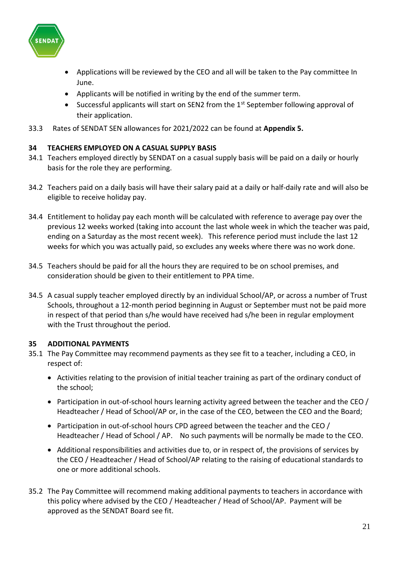

- Applications will be reviewed by the CEO and all will be taken to the Pay committee In June.
- Applicants will be notified in writing by the end of the summer term.
- Successful applicants will start on SEN2 from the 1<sup>st</sup> September following approval of their application.
- 33.3 Rates of SENDAT SEN allowances for 2021/2022 can be found at **Appendix 5.**

## **34 TEACHERS EMPLOYED ON A CASUAL SUPPLY BASIS**

- 34.1 Teachers employed directly by SENDAT on a casual supply basis will be paid on a daily or hourly basis for the role they are performing.
- 34.2 Teachers paid on a daily basis will have their salary paid at a daily or half-daily rate and will also be eligible to receive holiday pay.
- 34.4 Entitlement to holiday pay each month will be calculated with reference to average pay over the previous 12 weeks worked (taking into account the last whole week in which the teacher was paid, ending on a Saturday as the most recent week). This reference period must include the last 12 weeks for which you was actually paid, so excludes any weeks where there was no work done.
- 34.5 Teachers should be paid for all the hours they are required to be on school premises, and consideration should be given to their entitlement to PPA time.
- 34.5 A casual supply teacher employed directly by an individual School/AP, or across a number of Trust Schools, throughout a 12-month period beginning in August or September must not be paid more in respect of that period than s/he would have received had s/he been in regular employment with the Trust throughout the period.

#### **35 ADDITIONAL PAYMENTS**

- 35.1 The Pay Committee may recommend payments as they see fit to a teacher, including a CEO, in respect of:
	- Activities relating to the provision of initial teacher training as part of the ordinary conduct of the school;
	- Participation in out-of-school hours learning activity agreed between the teacher and the CEO / Headteacher / Head of School/AP or, in the case of the CEO, between the CEO and the Board;
	- Participation in out-of-school hours CPD agreed between the teacher and the CEO / Headteacher / Head of School / AP. No such payments will be normally be made to the CEO.
	- Additional responsibilities and activities due to, or in respect of, the provisions of services by the CEO / Headteacher / Head of School/AP relating to the raising of educational standards to one or more additional schools.
- 35.2 The Pay Committee will recommend making additional payments to teachers in accordance with this policy where advised by the CEO / Headteacher / Head of School/AP. Payment will be approved as the SENDAT Board see fit.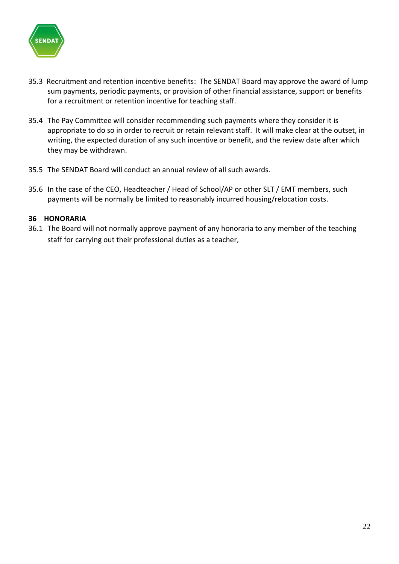

- 35.3 Recruitment and retention incentive benefits: The SENDAT Board may approve the award of lump sum payments, periodic payments, or provision of other financial assistance, support or benefits for a recruitment or retention incentive for teaching staff.
- 35.4 The Pay Committee will consider recommending such payments where they consider it is appropriate to do so in order to recruit or retain relevant staff. It will make clear at the outset, in writing, the expected duration of any such incentive or benefit, and the review date after which they may be withdrawn.
- 35.5 The SENDAT Board will conduct an annual review of all such awards.
- 35.6 In the case of the CEO, Headteacher / Head of School/AP or other SLT / EMT members, such payments will be normally be limited to reasonably incurred housing/relocation costs.

#### **36 HONORARIA**

36.1 The Board will not normally approve payment of any honoraria to any member of the teaching staff for carrying out their professional duties as a teacher,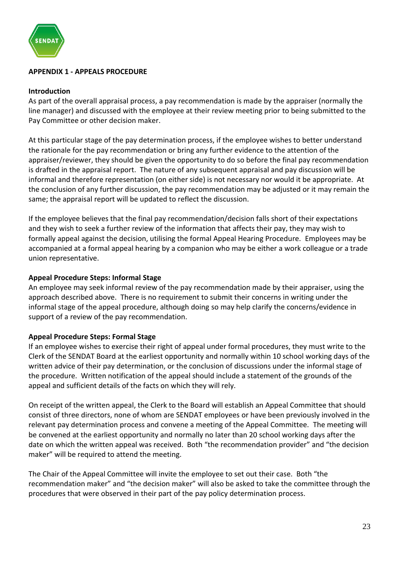

#### **APPENDIX 1 - APPEALS PROCEDURE**

#### **Introduction**

As part of the overall appraisal process, a pay recommendation is made by the appraiser (normally the line manager) and discussed with the employee at their review meeting prior to being submitted to the Pay Committee or other decision maker.

At this particular stage of the pay determination process, if the employee wishes to better understand the rationale for the pay recommendation or bring any further evidence to the attention of the appraiser/reviewer, they should be given the opportunity to do so before the final pay recommendation is drafted in the appraisal report. The nature of any subsequent appraisal and pay discussion will be informal and therefore representation (on either side) is not necessary nor would it be appropriate. At the conclusion of any further discussion, the pay recommendation may be adjusted or it may remain the same; the appraisal report will be updated to reflect the discussion.

If the employee believes that the final pay recommendation/decision falls short of their expectations and they wish to seek a further review of the information that affects their pay, they may wish to formally appeal against the decision, utilising the formal Appeal Hearing Procedure. Employees may be accompanied at a formal appeal hearing by a companion who may be either a work colleague or a trade union representative.

#### **Appeal Procedure Steps: Informal Stage**

An employee may seek informal review of the pay recommendation made by their appraiser, using the approach described above. There is no requirement to submit their concerns in writing under the informal stage of the appeal procedure, although doing so may help clarify the concerns/evidence in support of a review of the pay recommendation.

#### **Appeal Procedure Steps: Formal Stage**

If an employee wishes to exercise their right of appeal under formal procedures, they must write to the Clerk of the SENDAT Board at the earliest opportunity and normally within 10 school working days of the written advice of their pay determination, or the conclusion of discussions under the informal stage of the procedure. Written notification of the appeal should include a statement of the grounds of the appeal and sufficient details of the facts on which they will rely.

On receipt of the written appeal, the Clerk to the Board will establish an Appeal Committee that should consist of three directors, none of whom are SENDAT employees or have been previously involved in the relevant pay determination process and convene a meeting of the Appeal Committee. The meeting will be convened at the earliest opportunity and normally no later than 20 school working days after the date on which the written appeal was received. Both "the recommendation provider" and "the decision maker" will be required to attend the meeting.

The Chair of the Appeal Committee will invite the employee to set out their case. Both "the recommendation maker" and "the decision maker" will also be asked to take the committee through the procedures that were observed in their part of the pay policy determination process.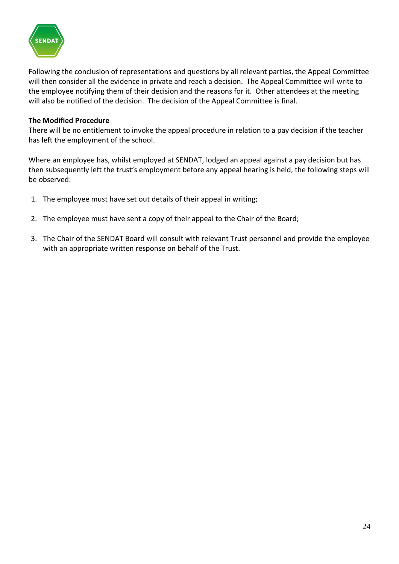

Following the conclusion of representations and questions by all relevant parties, the Appeal Committee will then consider all the evidence in private and reach a decision. The Appeal Committee will write to the employee notifying them of their decision and the reasons for it. Other attendees at the meeting will also be notified of the decision. The decision of the Appeal Committee is final.

#### **The Modified Procedure**

There will be no entitlement to invoke the appeal procedure in relation to a pay decision if the teacher has left the employment of the school.

Where an employee has, whilst employed at SENDAT, lodged an appeal against a pay decision but has then subsequently left the trust's employment before any appeal hearing is held, the following steps will be observed:

- 1. The employee must have set out details of their appeal in writing;
- 2. The employee must have sent a copy of their appeal to the Chair of the Board;
- 3. The Chair of the SENDAT Board will consult with relevant Trust personnel and provide the employee with an appropriate written response on behalf of the Trust.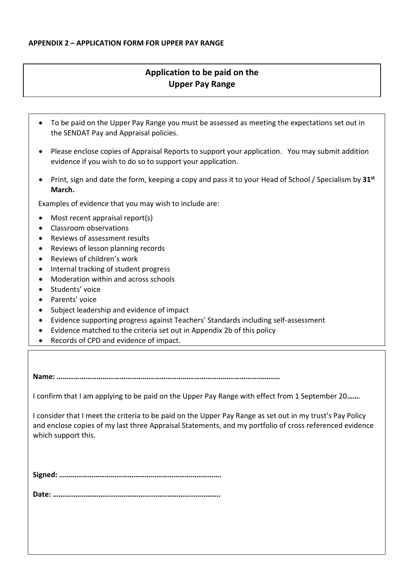# **Application to be paid on the Upper Pay Range**

- To be paid on the Upper Pay Range you must be assessed as meeting the expectations set out in the SENDAT Pay and Appraisal policies.
- Please enclose copies of Appraisal Reports to support your application. You may submit addition evidence if you wish to do so to support your application.
- Print, sign and date the form, keeping a copy and pass it to your Head of School / Specialism by **31st March.**

Examples of evidence that you may wish to include are:

- Most recent appraisal report(s)
- Classroom observations
- Reviews of assessment results
- Reviews of lesson planning records
- Reviews of children's work
- Internal tracking of student progress
- Moderation within and across schools
- Students' voice
- Parents' voice
- Subject leadership and evidence of impact
- Evidence supporting progress against Teachers' Standards including self-assessment
- Evidence matched to the criteria set out in Appendix 2b of this policy
- Records of CPD and evidence of impact.

**Name: ………………………………………………………………………………………………………**

I confirm that I am applying to be paid on the Upper Pay Range with effect from 1 September 20**……**.

I consider that I meet the criteria to be paid on the Upper Pay Range as set out in my trust's Pay Policy and enclose copies of my last three Appraisal Statements, and my portfolio of cross referenced evidence which support this.

**Signed: ………………………………………………………………………….**

**Date: …………………………………………………………………………….**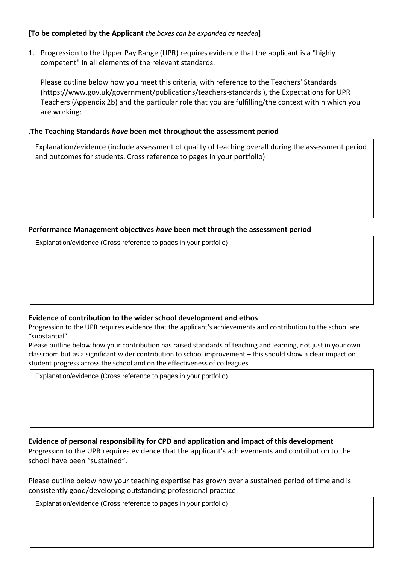#### **[To be completed by the Applicant** *the boxes can be expanded as needed***]**

1. Progression to the Upper Pay Range (UPR) requires evidence that the applicant is a "highly competent" in all elements of the relevant standards.

Please outline below how you meet this criteria, with reference to the Teachers' Standards [\(https://www.gov.uk/government/publications/teachers-standards](https://www.gov.uk/government/publications/teachers-standards) ), the Expectations for UPR Teachers (Appendix 2b) and the particular role that you are fulfilling/the context within which you are working:

#### .**The Teaching Standards** *have* **been met throughout the assessment period**

Explanation/evidence (include assessment of quality of teaching overall during the assessment period and outcomes for students. Cross reference to pages in your portfolio)

#### **Performance Management objectives** *have* **been met through the assessment period**

Explanation/evidence (Cross reference to pages in your portfolio)

#### **Evidence of contribution to the wider school development and ethos**

Progression to the UPR requires evidence that the applicant's achievements and contribution to the school are "substantial".

Please outline below how your contribution has raised standards of teaching and learning, not just in your own classroom but as a significant wider contribution to school improvement – this should show a clear impact on student progress across the school and on the effectiveness of colleagues

Explanation/evidence (Cross reference to pages in your portfolio)

#### **Evidence of personal responsibility for CPD and application and impact of this development**

Progression to the UPR requires evidence that the applicant's achievements and contribution to the school have been "sustained".

Please outline below how your teaching expertise has grown over a sustained period of time and is consistently good/developing outstanding professional practice:

Explanation/evidence (Cross reference to pages in your portfolio)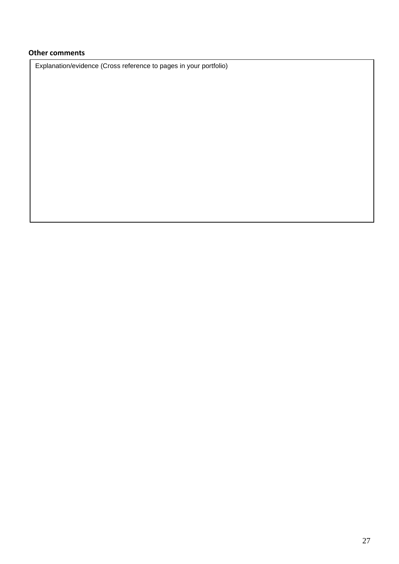# **Other comments**

Explanation/evidence (Cross reference to pages in your portfolio)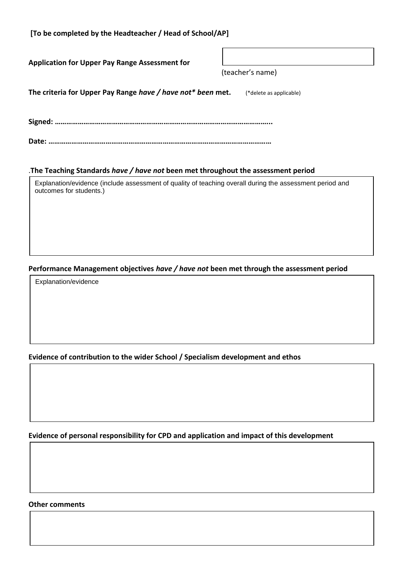| [To be completed by the Headteacher / Head of School/AP]                                                 |                         |
|----------------------------------------------------------------------------------------------------------|-------------------------|
| <b>Application for Upper Pay Range Assessment for</b>                                                    |                         |
|                                                                                                          | (teacher's name)        |
| The criteria for Upper Pay Range have / have not* been met.                                              | (*delete as applicable) |
|                                                                                                          |                         |
|                                                                                                          |                         |
|                                                                                                          |                         |
| The Teaching Standards have / have not been met throughout the assessment period                         |                         |
| Explanation/evidence (include assessment of quality of teaching overall during the assessment period and |                         |

# **Performance Management objectives** *have / have not* **been met through the assessment period**

Explanation/evidence

outcomes for students.)

# **Evidence of contribution to the wider School / Specialism development and ethos**

**Evidence of personal responsibility for CPD and application and impact of this development**

#### **Other comments**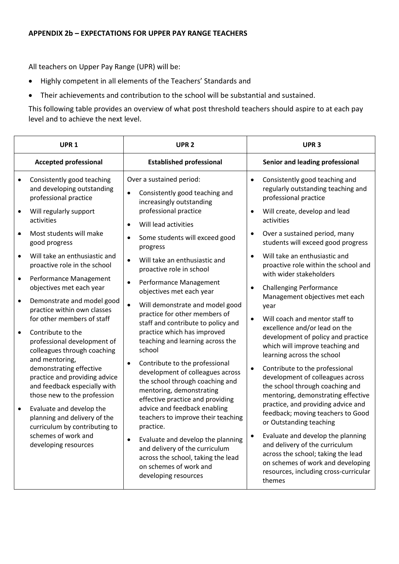All teachers on Upper Pay Range (UPR) will be:

- Highly competent in all elements of the Teachers' Standards and
- Their achievements and contribution to the school will be substantial and sustained.

This following table provides an overview of what post threshold teachers should aspire to at each pay level and to achieve the next level.

| UPR <sub>1</sub>       |                                                                                                                                                                                                                      | UPR <sub>2</sub>                                                                                                                                                                                                                                | UPR <sub>3</sub>                                                                                                                                                                                                                                       |
|------------------------|----------------------------------------------------------------------------------------------------------------------------------------------------------------------------------------------------------------------|-------------------------------------------------------------------------------------------------------------------------------------------------------------------------------------------------------------------------------------------------|--------------------------------------------------------------------------------------------------------------------------------------------------------------------------------------------------------------------------------------------------------|
|                        | <b>Accepted professional</b>                                                                                                                                                                                         | <b>Established professional</b>                                                                                                                                                                                                                 | Senior and leading professional                                                                                                                                                                                                                        |
| $\bullet$              | Consistently good teaching<br>and developing outstanding<br>professional practice                                                                                                                                    | Over a sustained period:<br>Consistently good teaching and<br>$\bullet$<br>increasingly outstanding                                                                                                                                             | Consistently good teaching and<br>$\bullet$<br>regularly outstanding teaching and<br>professional practice                                                                                                                                             |
| $\bullet$              | Will regularly support<br>activities                                                                                                                                                                                 | professional practice<br>Will lead activities<br>$\bullet$                                                                                                                                                                                      | Will create, develop and lead<br>activities                                                                                                                                                                                                            |
|                        | Most students will make<br>good progress                                                                                                                                                                             | Some students will exceed good<br>$\bullet$<br>progress                                                                                                                                                                                         | Over a sustained period, many<br>students will exceed good progress                                                                                                                                                                                    |
| $\bullet$              | Will take an enthusiastic and<br>proactive role in the school                                                                                                                                                        | Will take an enthusiastic and<br>$\bullet$<br>proactive role in school                                                                                                                                                                          | Will take an enthusiastic and<br>$\bullet$<br>proactive role within the school and<br>with wider stakeholders                                                                                                                                          |
| $\bullet$              | Performance Management<br>objectives met each year                                                                                                                                                                   | Performance Management<br>$\bullet$<br>objectives met each year                                                                                                                                                                                 | <b>Challenging Performance</b><br>$\bullet$<br>Management objectives met each                                                                                                                                                                          |
| $\bullet$<br>$\bullet$ | Demonstrate and model good<br>practice within own classes<br>for other members of staff<br>Contribute to the<br>professional development of<br>colleagues through coaching<br>and mentoring,                         | $\bullet$<br>Will demonstrate and model good<br>practice for other members of<br>staff and contribute to policy and<br>practice which has improved<br>teaching and learning across the<br>school<br>Contribute to the professional<br>$\bullet$ | year<br>Will coach and mentor staff to<br>excellence and/or lead on the<br>development of policy and practice<br>which will improve teaching and<br>learning across the school                                                                         |
| ٠                      | demonstrating effective<br>practice and providing advice<br>and feedback especially with<br>those new to the profession<br>Evaluate and develop the<br>planning and delivery of the<br>curriculum by contributing to | development of colleagues across<br>the school through coaching and<br>mentoring, demonstrating<br>effective practice and providing<br>advice and feedback enabling<br>teachers to improve their teaching<br>practice.                          | Contribute to the professional<br>٠<br>development of colleagues across<br>the school through coaching and<br>mentoring, demonstrating effective<br>practice, and providing advice and<br>feedback; moving teachers to Good<br>or Outstanding teaching |
|                        | schemes of work and<br>developing resources                                                                                                                                                                          | Evaluate and develop the planning<br>$\bullet$<br>and delivery of the curriculum<br>across the school, taking the lead<br>on schemes of work and<br>developing resources                                                                        | Evaluate and develop the planning<br>٠<br>and delivery of the curriculum<br>across the school; taking the lead<br>on schemes of work and developing<br>resources, including cross-curricular<br>themes                                                 |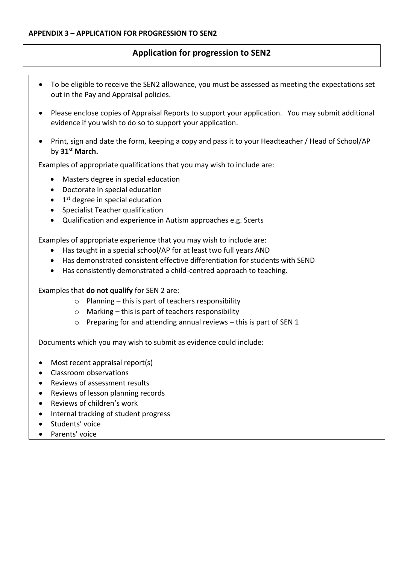# **Application for progression to SEN2**

- To be eligible to receive the SEN2 allowance, you must be assessed as meeting the expectations set out in the Pay and Appraisal policies.
- Please enclose copies of Appraisal Reports to support your application. You may submit additional evidence if you wish to do so to support your application.
- Print, sign and date the form, keeping a copy and pass it to your Headteacher / Head of School/AP by **31st March.**

Examples of appropriate qualifications that you may wish to include are:

- Masters degree in special education
- Doctorate in special education
- 1<sup>st</sup> degree in special education
- Specialist Teacher qualification
- Qualification and experience in Autism approaches e.g. Scerts

Examples of appropriate experience that you may wish to include are:

- Has taught in a special school/AP for at least two full years AND
- Has demonstrated consistent effective differentiation for students with SEND
- Has consistently demonstrated a child-centred approach to teaching.

Examples that **do not qualify** for SEN 2 are:

- $\circ$  Planning this is part of teachers responsibility
- $\circ$  Marking this is part of teachers responsibility
- o Preparing for and attending annual reviews this is part of SEN 1

Documents which you may wish to submit as evidence could include:

- Most recent appraisal report(s)
- Classroom observations
- Reviews of assessment results
- Reviews of lesson planning records
- Reviews of children's work
- Internal tracking of student progress
- Students' voice
- Parents' voice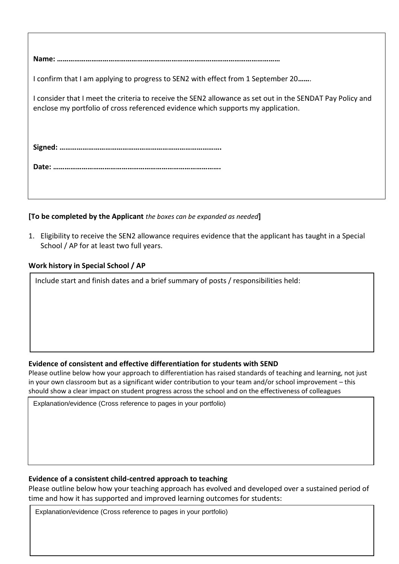| I confirm that I am applying to progress to SEN2 with effect from 1 September 20                                                                                                              |
|-----------------------------------------------------------------------------------------------------------------------------------------------------------------------------------------------|
| I consider that I meet the criteria to receive the SEN2 allowance as set out in the SENDAT Pay Policy and<br>enclose my portfolio of cross referenced evidence which supports my application. |
|                                                                                                                                                                                               |
|                                                                                                                                                                                               |
|                                                                                                                                                                                               |
|                                                                                                                                                                                               |
|                                                                                                                                                                                               |

#### **[To be completed by the Applicant** *the boxes can be expanded as needed***]**

1. Eligibility to receive the SEN2 allowance requires evidence that the applicant has taught in a Special School / AP for at least two full years.

#### **Work history in Special School / AP**

Include start and finish dates and a brief summary of posts / responsibilities held:

# **Evidence of consistent and effective differentiation for students with SEND**

Please outline below how your approach to differentiation has raised standards of teaching and learning, not just in your own classroom but as a significant wider contribution to your team and/or school improvement – this should show a clear impact on student progress across the school and on the effectiveness of colleagues

Explanation/evidence (Cross reference to pages in your portfolio)

#### **Evidence of a consistent child-centred approach to teaching**

Please outline below how your teaching approach has evolved and developed over a sustained period of time and how it has supported and improved learning outcomes for students:

Explanation/evidence (Cross reference to pages in your portfolio)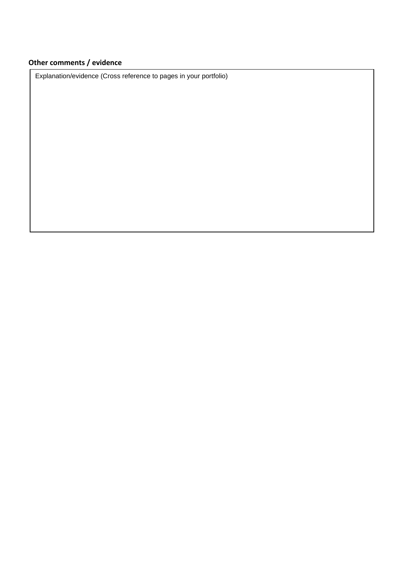# **Other comments / evidence**

Explanation/evidence (Cross reference to pages in your portfolio)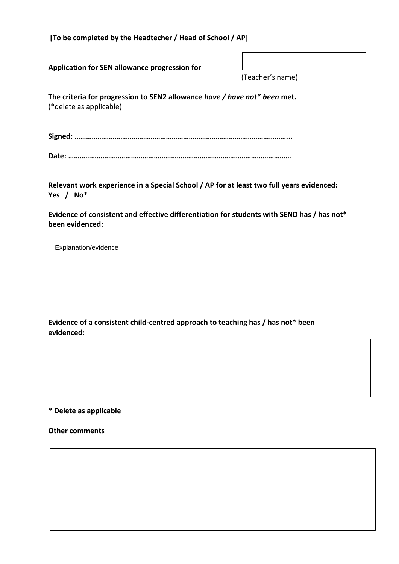**[To be completed by the Headtecher / Head of School / AP]**

**Application for SEN allowance progression for** 

(Teacher's name)

**The criteria for progression to SEN2 allowance** *have / have not\* been* **met.** (\*delete as applicable)

**Signed: …………………………………………………………………………………………………...**

|--|--|--|--|

**Relevant work experience in a Special School / AP for at least two full years evidenced: Yes / No\***

**Evidence of consistent and effective differentiation for students with SEND has / has not\* been evidenced:**

Explanation/evidence

**Evidence of a consistent child-centred approach to teaching has / has not\* been evidenced:**

**\* Delete as applicable**

**Other comments**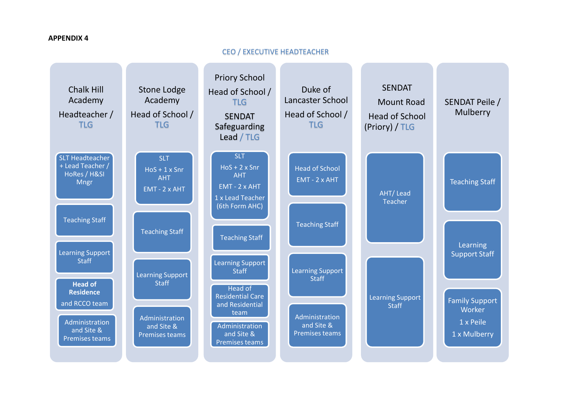#### **APPENDIX 4**

#### CEO / EXECUTIVE HEADTEACHER

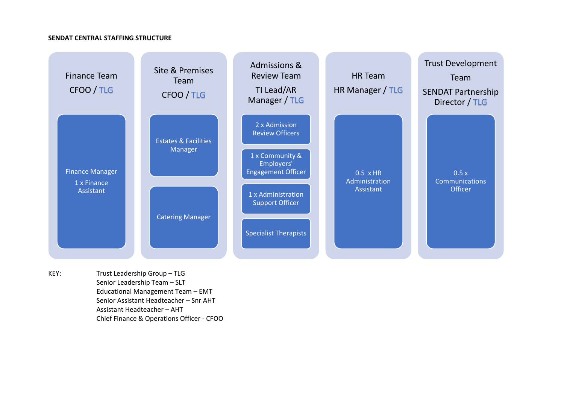#### **SENDAT CENTRAL STAFFING STRUCTURE**



KEY: Trust Leadership Group – TLG Senior Leadership Team – SLT Educational Management Team – EMT Senior Assistant Headteacher – Snr AHT Assistant Headteacher – AHT Chief Finance & Operations Officer - CFOO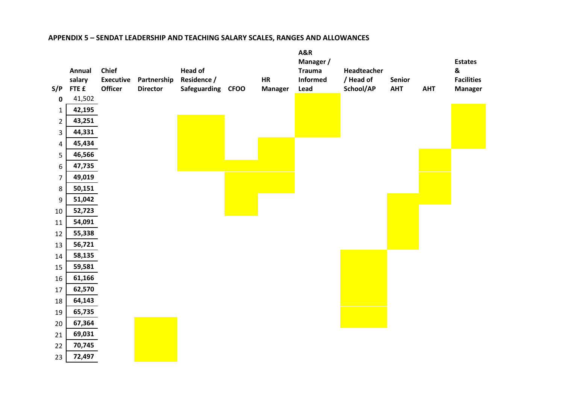#### **APPENDIX 5 – SENDAT LEADERSHIP AND TEACHING SALARY SCALES, RANGES AND ALLOWANCES**

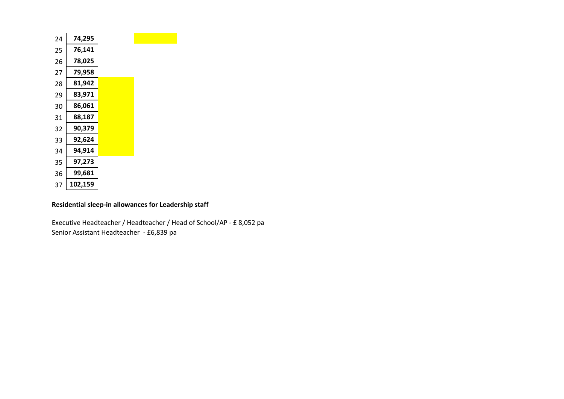| 24 | 74,295  |  |
|----|---------|--|
| 25 | 76,141  |  |
| 26 | 78,025  |  |
| 27 | 79,958  |  |
| 28 | 81,942  |  |
| 29 | 83,971  |  |
| 30 | 86,061  |  |
| 31 | 88,187  |  |
| 32 | 90,379  |  |
| 33 | 92,624  |  |
| 34 | 94,914  |  |
| 35 | 97,273  |  |
| 36 | 99,681  |  |
| 37 | 102,159 |  |

#### **Residential sleep-in allowances for Leadership staff**

Executive Headteacher / Headteacher / Head of School/AP - £ 8,052 pa Senior Assistant Headteacher - £6,839 pa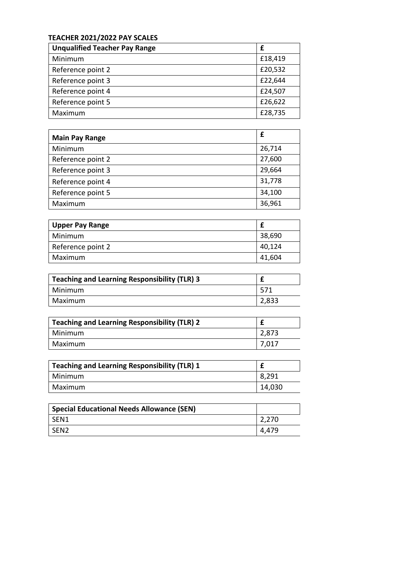# **TEACHER 2021/2022 PAY SCALES**

| <b>Unqualified Teacher Pay Range</b> | £       |
|--------------------------------------|---------|
| Minimum                              | £18,419 |
| Reference point 2                    | £20,532 |
| Reference point 3                    | £22,644 |
| Reference point 4                    | £24,507 |
| Reference point 5                    | £26,622 |
| Maximum                              | £28,735 |

| <b>Main Pay Range</b> | £      |
|-----------------------|--------|
| Minimum               | 26,714 |
| Reference point 2     | 27,600 |
| Reference point 3     | 29,664 |
| Reference point 4     | 31,778 |
| Reference point 5     | 34,100 |
| Maximum               | 36,961 |

| <b>Upper Pay Range</b> |        |
|------------------------|--------|
| Minimum                | 38,690 |
| Reference point 2      | 40,124 |
| Maximum                | 41,604 |

| Teaching and Learning Responsibility (TLR) 3 |       |
|----------------------------------------------|-------|
| Minimum                                      | 571   |
| Maximum                                      | 2,833 |

| Teaching and Learning Responsibility (TLR) 2 |       |
|----------------------------------------------|-------|
| Minimum                                      | 2,873 |
| Maximum                                      | 7,017 |

| Teaching and Learning Responsibility (TLR) 1 |        |
|----------------------------------------------|--------|
| Minimum                                      | 8,291  |
| Maximum                                      | 14,030 |

| <b>Special Educational Needs Allowance (SEN)</b> |       |
|--------------------------------------------------|-------|
| SEN1                                             | 2,270 |
| SEN <sub>2</sub>                                 | 4,479 |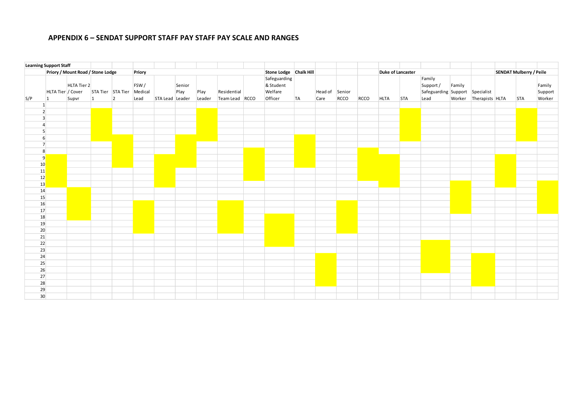#### **APPENDIX 6 – SENDAT SUPPORT STAFF PAY STAFF PAY SCALE AND RANGES**

|                 | <b>Learning Support Staff</b> |                                   |                   |                |                 |                 |                |        |                |                                      |    |                |      |      |                          |            |                                                        |        |                        |                                |            |                   |
|-----------------|-------------------------------|-----------------------------------|-------------------|----------------|-----------------|-----------------|----------------|--------|----------------|--------------------------------------|----|----------------|------|------|--------------------------|------------|--------------------------------------------------------|--------|------------------------|--------------------------------|------------|-------------------|
|                 |                               | Priory / Mount Road / Stone Lodge |                   |                | Priory          |                 |                |        |                | Stone Lodge Chalk Hill               |    |                |      |      | <b>Duke of Lancaster</b> |            |                                                        |        |                        | <b>SENDAT Mulberry / Peile</b> |            |                   |
|                 | HLTA Tier / Cover             | HLTA Tier 2                       | STA Tier STA Tier |                | FSW/<br>Medical |                 | Senior<br>Play | Play   | Residential    | Safeguarding<br>& Student<br>Welfare |    | Head of Senior |      |      |                          |            | Family<br>Support /<br>Safeguarding Support Specialist | Family |                        |                                |            | Family<br>Support |
| S/P             | 11                            | Supvr                             | $\mathbf{1}$      | $\overline{2}$ | Lead            | STA Lead Leader |                | Leader | Team Lead RCCO | Officer                              | TA | Care           | RCCO | RCCO | <b>HLTA</b>              | <b>STA</b> | Lead                                                   |        | Worker Therapists HLTA |                                | <b>STA</b> | Worker            |
| 1               |                               |                                   |                   |                |                 |                 |                |        |                |                                      |    |                |      |      |                          |            |                                                        |        |                        |                                |            |                   |
|                 | 2                             |                                   |                   |                |                 |                 |                |        |                |                                      |    |                |      |      |                          |            |                                                        |        |                        |                                |            |                   |
| $\overline{3}$  |                               |                                   |                   |                |                 |                 |                |        |                |                                      |    |                |      |      |                          |            |                                                        |        |                        |                                |            |                   |
| Δ               |                               |                                   |                   |                |                 |                 |                |        |                |                                      |    |                |      |      |                          |            |                                                        |        |                        |                                |            |                   |
|                 | 5 <sup>1</sup>                |                                   |                   |                |                 |                 |                |        |                |                                      |    |                |      |      |                          |            |                                                        |        |                        |                                |            |                   |
|                 | $6 \overline{6}$              |                                   |                   |                |                 |                 |                |        |                |                                      |    |                |      |      |                          |            |                                                        |        |                        |                                |            |                   |
|                 | $\overline{7}$                |                                   |                   |                |                 |                 |                |        |                |                                      |    |                |      |      |                          |            |                                                        |        |                        |                                |            |                   |
|                 | 8                             |                                   |                   |                |                 |                 |                |        |                |                                      |    |                |      |      |                          |            |                                                        |        |                        |                                |            |                   |
|                 | 9                             |                                   |                   |                |                 |                 |                |        |                |                                      |    |                |      |      |                          |            |                                                        |        |                        |                                |            |                   |
| 10 <sup>°</sup> |                               |                                   |                   |                |                 |                 |                |        |                |                                      |    |                |      |      |                          |            |                                                        |        |                        |                                |            |                   |
| 11              |                               |                                   |                   |                |                 |                 |                |        |                |                                      |    |                |      |      |                          |            |                                                        |        |                        |                                |            |                   |
| 12              |                               |                                   |                   |                |                 |                 |                |        |                |                                      |    |                |      |      |                          |            |                                                        |        |                        |                                |            |                   |
| 13              |                               |                                   |                   |                |                 |                 |                |        |                |                                      |    |                |      |      |                          |            |                                                        |        |                        |                                |            |                   |
| 14              |                               |                                   |                   |                |                 |                 |                |        |                |                                      |    |                |      |      |                          |            |                                                        |        |                        |                                |            |                   |
| 15              |                               |                                   |                   |                |                 |                 |                |        |                |                                      |    |                |      |      |                          |            |                                                        |        |                        |                                |            |                   |
| 16              |                               |                                   |                   |                |                 |                 |                |        |                |                                      |    |                |      |      |                          |            |                                                        |        |                        |                                |            |                   |
| 17<br>18        |                               |                                   |                   |                |                 |                 |                |        |                |                                      |    |                |      |      |                          |            |                                                        |        |                        |                                |            |                   |
| 19              |                               |                                   |                   |                |                 |                 |                |        |                |                                      |    |                |      |      |                          |            |                                                        |        |                        |                                |            |                   |
| 20              |                               |                                   |                   |                |                 |                 |                |        |                |                                      |    |                |      |      |                          |            |                                                        |        |                        |                                |            |                   |
| 21              |                               |                                   |                   |                |                 |                 |                |        |                |                                      |    |                |      |      |                          |            |                                                        |        |                        |                                |            |                   |
| 22              |                               |                                   |                   |                |                 |                 |                |        |                |                                      |    |                |      |      |                          |            |                                                        |        |                        |                                |            |                   |
| 23              |                               |                                   |                   |                |                 |                 |                |        |                |                                      |    |                |      |      |                          |            |                                                        |        |                        |                                |            |                   |
| 24              |                               |                                   |                   |                |                 |                 |                |        |                |                                      |    |                |      |      |                          |            |                                                        |        |                        |                                |            |                   |
| 25              |                               |                                   |                   |                |                 |                 |                |        |                |                                      |    |                |      |      |                          |            |                                                        |        |                        |                                |            |                   |
| 26              |                               |                                   |                   |                |                 |                 |                |        |                |                                      |    |                |      |      |                          |            |                                                        |        |                        |                                |            |                   |
| 27              |                               |                                   |                   |                |                 |                 |                |        |                |                                      |    |                |      |      |                          |            |                                                        |        |                        |                                |            |                   |
| 28              |                               |                                   |                   |                |                 |                 |                |        |                |                                      |    |                |      |      |                          |            |                                                        |        |                        |                                |            |                   |
| 29              |                               |                                   |                   |                |                 |                 |                |        |                |                                      |    |                |      |      |                          |            |                                                        |        |                        |                                |            |                   |
| 30 <sup>°</sup> |                               |                                   |                   |                |                 |                 |                |        |                |                                      |    |                |      |      |                          |            |                                                        |        |                        |                                |            |                   |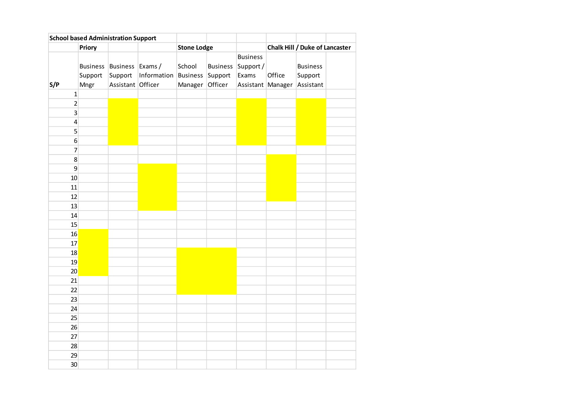| <b>School based Administration Support</b> |         |                           |             |                    |                 |                   |        |                                |  |
|--------------------------------------------|---------|---------------------------|-------------|--------------------|-----------------|-------------------|--------|--------------------------------|--|
|                                            | Priory  |                           |             | <b>Stone Lodge</b> |                 |                   |        | Chalk Hill / Duke of Lancaster |  |
|                                            |         |                           |             |                    |                 | <b>Business</b>   |        |                                |  |
|                                            |         | Business Business Exams / |             | School             | <b>Business</b> | Support /         |        | <b>Business</b>                |  |
|                                            | Support | Support                   | Information | <b>Business</b>    | Support         | Exams             | Office | Support                        |  |
| S/P                                        | Mngr    | Assistant Officer         |             | Manager            | Officer         | Assistant Manager |        | Assistant                      |  |
| $\mathbf 1$                                |         |                           |             |                    |                 |                   |        |                                |  |
| $\mathbf 2$                                |         |                           |             |                    |                 |                   |        |                                |  |
| 3                                          |         |                           |             |                    |                 |                   |        |                                |  |
| $\pmb{4}$                                  |         |                           |             |                    |                 |                   |        |                                |  |
| 5                                          |         |                           |             |                    |                 |                   |        |                                |  |
| $\boldsymbol{6}$                           |         |                           |             |                    |                 |                   |        |                                |  |
| $\overline{7}$                             |         |                           |             |                    |                 |                   |        |                                |  |
| 8                                          |         |                           |             |                    |                 |                   |        |                                |  |
| 9                                          |         |                           |             |                    |                 |                   |        |                                |  |
| 10                                         |         |                           |             |                    |                 |                   |        |                                |  |
| 11                                         |         |                           |             |                    |                 |                   |        |                                |  |
| 12                                         |         |                           |             |                    |                 |                   |        |                                |  |
| 13                                         |         |                           |             |                    |                 |                   |        |                                |  |
| 14                                         |         |                           |             |                    |                 |                   |        |                                |  |
| 15                                         |         |                           |             |                    |                 |                   |        |                                |  |
| 16                                         |         |                           |             |                    |                 |                   |        |                                |  |
| 17                                         |         |                           |             |                    |                 |                   |        |                                |  |
| 18                                         |         |                           |             |                    |                 |                   |        |                                |  |
| 19                                         |         |                           |             |                    |                 |                   |        |                                |  |
| 20                                         |         |                           |             |                    |                 |                   |        |                                |  |
| 21                                         |         |                           |             |                    |                 |                   |        |                                |  |
| 22                                         |         |                           |             |                    |                 |                   |        |                                |  |
| 23                                         |         |                           |             |                    |                 |                   |        |                                |  |
| 24                                         |         |                           |             |                    |                 |                   |        |                                |  |
| 25                                         |         |                           |             |                    |                 |                   |        |                                |  |
| 26                                         |         |                           |             |                    |                 |                   |        |                                |  |
| 27                                         |         |                           |             |                    |                 |                   |        |                                |  |
| 28                                         |         |                           |             |                    |                 |                   |        |                                |  |
| 29                                         |         |                           |             |                    |                 |                   |        |                                |  |
| 30                                         |         |                           |             |                    |                 |                   |        |                                |  |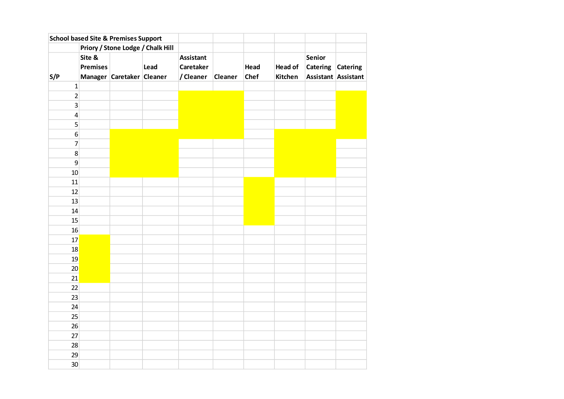|                 |                 | <b>School based Site &amp; Premises Support</b> |      |                  |         |             |                |                   |                     |
|-----------------|-----------------|-------------------------------------------------|------|------------------|---------|-------------|----------------|-------------------|---------------------|
|                 |                 | Priory / Stone Lodge / Chalk Hill               |      |                  |         |             |                |                   |                     |
|                 | Site &          |                                                 |      | <b>Assistant</b> |         |             |                | Senior            |                     |
|                 | <b>Premises</b> |                                                 | Lead | <b>Caretaker</b> |         | Head        | <b>Head of</b> | Catering Catering |                     |
| S/P             |                 | Manager Caretaker Cleaner                       |      | / Cleaner        | Cleaner | <b>Chef</b> | Kitchen        |                   | Assistant Assistant |
| $\mathbf 1$     |                 |                                                 |      |                  |         |             |                |                   |                     |
| $\overline{2}$  |                 |                                                 |      |                  |         |             |                |                   |                     |
| $\overline{3}$  |                 |                                                 |      |                  |         |             |                |                   |                     |
| $\pmb{4}$       |                 |                                                 |      |                  |         |             |                |                   |                     |
| 5               |                 |                                                 |      |                  |         |             |                |                   |                     |
| $6 \mid$        |                 |                                                 |      |                  |         |             |                |                   |                     |
| $\overline{7}$  |                 |                                                 |      |                  |         |             |                |                   |                     |
| 8 <sup>1</sup>  |                 |                                                 |      |                  |         |             |                |                   |                     |
| $\mathsf{g}$    |                 |                                                 |      |                  |         |             |                |                   |                     |
| 10 <sup>1</sup> |                 |                                                 |      |                  |         |             |                |                   |                     |
| 11              |                 |                                                 |      |                  |         |             |                |                   |                     |
| 12              |                 |                                                 |      |                  |         |             |                |                   |                     |
| 13              |                 |                                                 |      |                  |         |             |                |                   |                     |
| 14              |                 |                                                 |      |                  |         |             |                |                   |                     |
| 15              |                 |                                                 |      |                  |         |             |                |                   |                     |
| 16              |                 |                                                 |      |                  |         |             |                |                   |                     |
| 17              |                 |                                                 |      |                  |         |             |                |                   |                     |
| 18              |                 |                                                 |      |                  |         |             |                |                   |                     |
| 19              |                 |                                                 |      |                  |         |             |                |                   |                     |
| 20              |                 |                                                 |      |                  |         |             |                |                   |                     |
| 21              |                 |                                                 |      |                  |         |             |                |                   |                     |
| 22              |                 |                                                 |      |                  |         |             |                |                   |                     |
| 23              |                 |                                                 |      |                  |         |             |                |                   |                     |
| 24              |                 |                                                 |      |                  |         |             |                |                   |                     |
| 25              |                 |                                                 |      |                  |         |             |                |                   |                     |
| 26              |                 |                                                 |      |                  |         |             |                |                   |                     |
| 27              |                 |                                                 |      |                  |         |             |                |                   |                     |
| 28              |                 |                                                 |      |                  |         |             |                |                   |                     |
| 29              |                 |                                                 |      |                  |         |             |                |                   |                     |
| 30              |                 |                                                 |      |                  |         |             |                |                   |                     |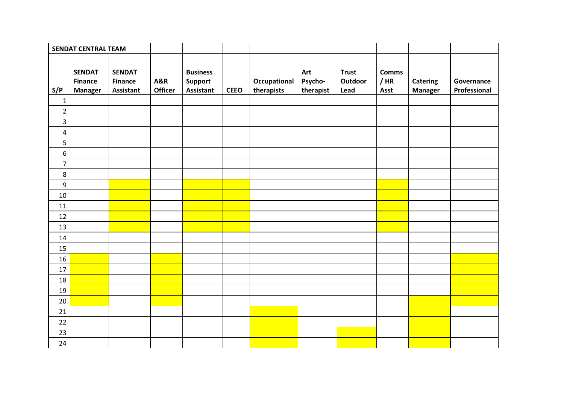|                  | <b>SENDAT CENTRAL TEAM</b>                        |                                                     |                                  |                                                       |             |                            |                             |                                 |                                |                                   |                            |
|------------------|---------------------------------------------------|-----------------------------------------------------|----------------------------------|-------------------------------------------------------|-------------|----------------------------|-----------------------------|---------------------------------|--------------------------------|-----------------------------------|----------------------------|
|                  |                                                   |                                                     |                                  |                                                       |             |                            |                             |                                 |                                |                                   |                            |
| S/P              | <b>SENDAT</b><br><b>Finance</b><br><b>Manager</b> | <b>SENDAT</b><br><b>Finance</b><br><b>Assistant</b> | <b>A&amp;R</b><br><b>Officer</b> | <b>Business</b><br><b>Support</b><br><b>Assistant</b> | <b>CEEO</b> | Occupational<br>therapists | Art<br>Psycho-<br>therapist | <b>Trust</b><br>Outdoor<br>Lead | <b>Comms</b><br>$/$ HR<br>Asst | <b>Catering</b><br><b>Manager</b> | Governance<br>Professional |
| $\mathbf{1}$     |                                                   |                                                     |                                  |                                                       |             |                            |                             |                                 |                                |                                   |                            |
| $\overline{2}$   |                                                   |                                                     |                                  |                                                       |             |                            |                             |                                 |                                |                                   |                            |
| $\mathsf 3$      |                                                   |                                                     |                                  |                                                       |             |                            |                             |                                 |                                |                                   |                            |
| $\pmb{4}$        |                                                   |                                                     |                                  |                                                       |             |                            |                             |                                 |                                |                                   |                            |
| 5                |                                                   |                                                     |                                  |                                                       |             |                            |                             |                                 |                                |                                   |                            |
| $\boldsymbol{6}$ |                                                   |                                                     |                                  |                                                       |             |                            |                             |                                 |                                |                                   |                            |
| $\overline{7}$   |                                                   |                                                     |                                  |                                                       |             |                            |                             |                                 |                                |                                   |                            |
| 8                |                                                   |                                                     |                                  |                                                       |             |                            |                             |                                 |                                |                                   |                            |
| $\boldsymbol{9}$ |                                                   |                                                     |                                  |                                                       |             |                            |                             |                                 |                                |                                   |                            |
| 10               |                                                   |                                                     |                                  |                                                       |             |                            |                             |                                 |                                |                                   |                            |
| 11               |                                                   |                                                     |                                  |                                                       |             |                            |                             |                                 |                                |                                   |                            |
| 12               |                                                   |                                                     |                                  |                                                       |             |                            |                             |                                 |                                |                                   |                            |
| 13               |                                                   |                                                     |                                  |                                                       |             |                            |                             |                                 |                                |                                   |                            |
| $14\,$           |                                                   |                                                     |                                  |                                                       |             |                            |                             |                                 |                                |                                   |                            |
| 15               |                                                   |                                                     |                                  |                                                       |             |                            |                             |                                 |                                |                                   |                            |
| 16               |                                                   |                                                     |                                  |                                                       |             |                            |                             |                                 |                                |                                   |                            |
| $17\,$           |                                                   |                                                     |                                  |                                                       |             |                            |                             |                                 |                                |                                   |                            |
| 18               |                                                   |                                                     |                                  |                                                       |             |                            |                             |                                 |                                |                                   |                            |
| 19               |                                                   |                                                     |                                  |                                                       |             |                            |                             |                                 |                                |                                   |                            |
| $20\,$           |                                                   |                                                     |                                  |                                                       |             |                            |                             |                                 |                                |                                   |                            |
| 21               |                                                   |                                                     |                                  |                                                       |             |                            |                             |                                 |                                |                                   |                            |
| 22               |                                                   |                                                     |                                  |                                                       |             |                            |                             |                                 |                                |                                   |                            |
| 23               |                                                   |                                                     |                                  |                                                       |             |                            |                             |                                 |                                |                                   |                            |
| 24               |                                                   |                                                     |                                  |                                                       |             |                            |                             |                                 |                                |                                   |                            |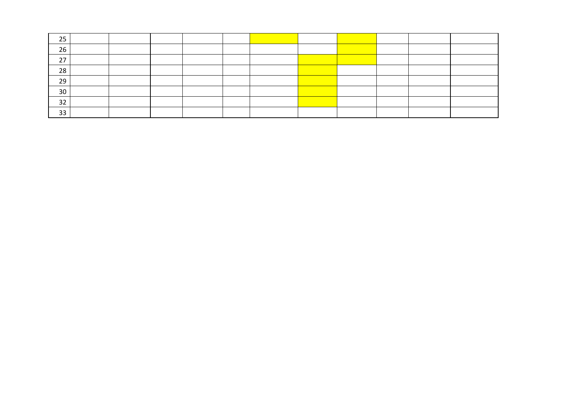| 25       |  |  |  |  |  |  |
|----------|--|--|--|--|--|--|
| 26       |  |  |  |  |  |  |
| 27<br>27 |  |  |  |  |  |  |
| 28       |  |  |  |  |  |  |
| 29       |  |  |  |  |  |  |
| 30       |  |  |  |  |  |  |
| 32       |  |  |  |  |  |  |
| 33       |  |  |  |  |  |  |